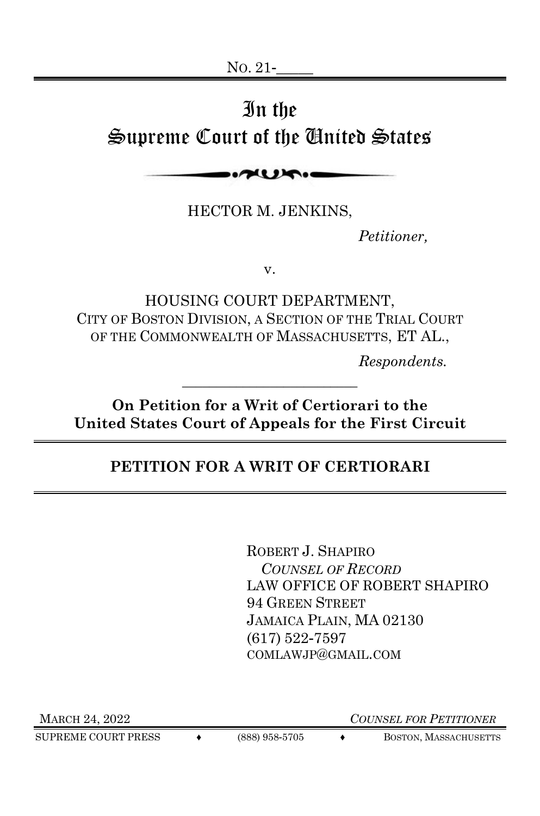## In the Supreme Court of the United States

 $\sim$ 

HECTOR M. JENKINS,

*Petitioner,*

v.

HOUSING COURT DEPARTMENT, CITY OF BOSTON DIVISION, A SECTION OF THE TRIAL COURT OF THE COMMONWEALTH OF MASSACHUSETTS, ET AL.,

*Respondents.*

**On Petition for a Writ of Certiorari to the United States Court of Appeals for the First Circuit**

\_\_\_\_\_\_\_\_\_\_\_\_\_\_\_\_\_\_\_\_\_\_\_\_\_\_

### **PETITION FOR A WRIT OF CERTIORARI**

ROBERT J. SHAPIRO  *COUNSEL OF RECORD*  LAW OFFICE OF ROBERT SHAPIRO 94 GREEN STREET JAMAICA PLAIN, MA 02130 (617) 522-7597 COMLAWJP@GMAIL.COM

SUPREME COURT PRESS  $\leftrightarrow$  (888) 958-5705  $\leftrightarrow$  BOSTON, MASSACHUSETTS

MARCH 24, 2022 *COUNSEL FOR PETITIONER*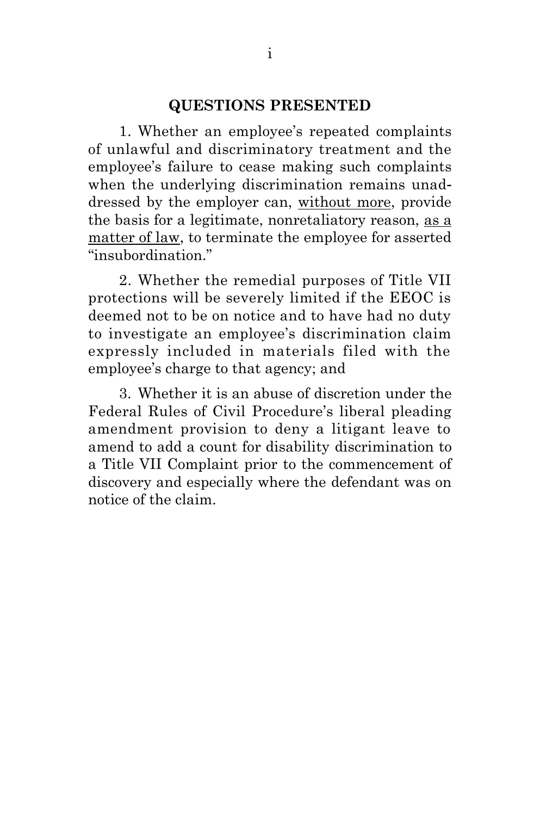#### **QUESTIONS PRESENTED**

<span id="page-1-0"></span>1. Whether an employee's repeated complaints of unlawful and discriminatory treatment and the employee's failure to cease making such complaints when the underlying discrimination remains unaddressed by the employer can, without more, provide the basis for a legitimate, nonretaliatory reason, as a matter of law, to terminate the employee for asserted "insubordination."

2. Whether the remedial purposes of Title VII protections will be severely limited if the EEOC is deemed not to be on notice and to have had no duty to investigate an employee's discrimination claim expressly included in materials filed with the employee's charge to that agency; and

3. Whether it is an abuse of discretion under the Federal Rules of Civil Procedure's liberal pleading amendment provision to deny a litigant leave to amend to add a count for disability discrimination to a Title VII Complaint prior to the commencement of discovery and especially where the defendant was on notice of the claim.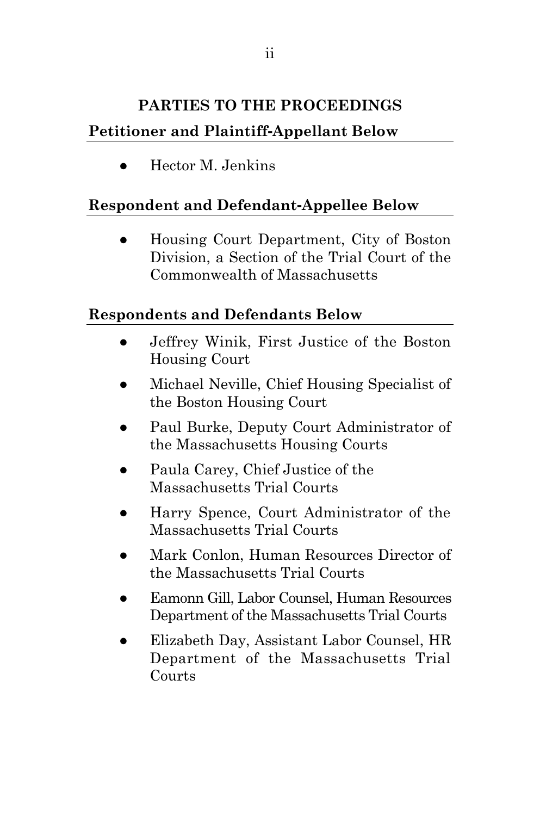### <span id="page-2-0"></span>**PARTIES TO THE PROCEEDINGS Petitioner and Plaintiff-Appellant Below**

● Hector M. Jenkins

### **Respondent and Defendant-Appellee Below**

● Housing Court Department, City of Boston Division, a Section of the Trial Court of the Commonwealth of Massachusetts

### **Respondents and Defendants Below**

- Jeffrey Winik, First Justice of the Boston Housing Court
- Michael Neville, Chief Housing Specialist of the Boston Housing Court
- Paul Burke, Deputy Court Administrator of the Massachusetts Housing Courts
- Paula Carey, Chief Justice of the Massachusetts Trial Courts
- Harry Spence, Court Administrator of the Massachusetts Trial Courts
- Mark Conlon, Human Resources Director of the Massachusetts Trial Courts
- Eamonn Gill, Labor Counsel, Human Resources Department of the Massachusetts Trial Courts
- Elizabeth Day, Assistant Labor Counsel, HR Department of the Massachusetts Trial Courts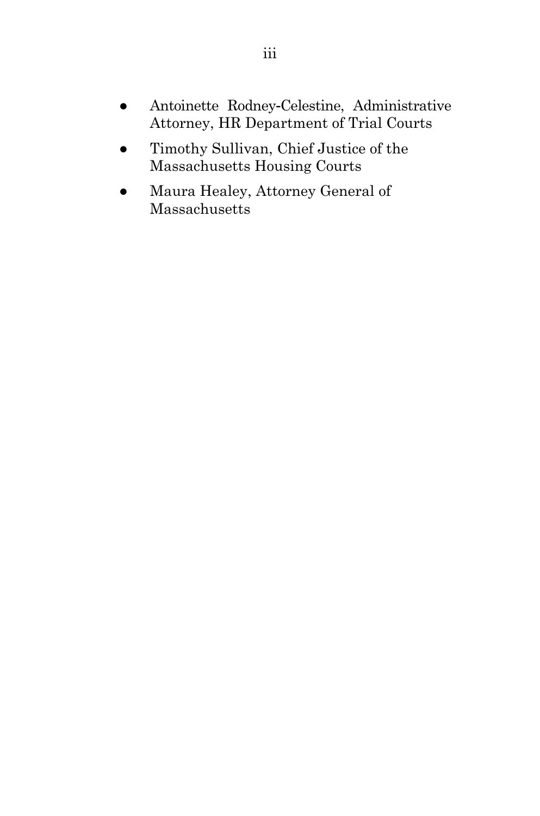- Antoinette Rodney-Celestine, Administrative Attorney, HR Department of Trial Courts
- Timothy Sullivan, Chief Justice of the Massachusetts Housing Courts
- Maura Healey, Attorney General of Massachusetts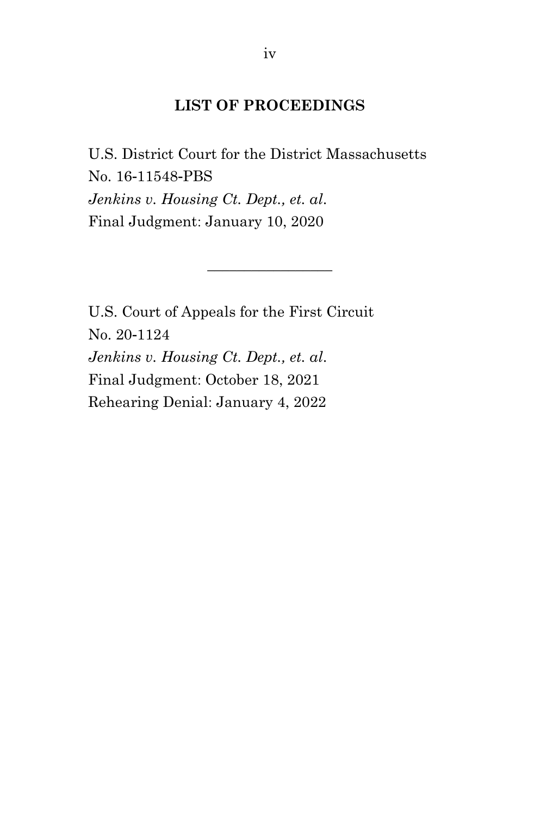#### **LIST OF PROCEEDINGS**

<span id="page-4-0"></span>U.S. District Court for the District Massachusetts No. 16-11548-PBS *Jenkins v. Housing Ct. Dept., et. al*. Final Judgment: January 10, 2020

 $\frac{1}{2}$  ,  $\frac{1}{2}$  ,  $\frac{1}{2}$  ,  $\frac{1}{2}$  ,  $\frac{1}{2}$  ,  $\frac{1}{2}$  ,  $\frac{1}{2}$ 

U.S. Court of Appeals for the First Circuit No. 20-1124 *Jenkins v. Housing Ct. Dept., et. al*. Final Judgment: October 18, 2021 Rehearing Denial: January 4, 2022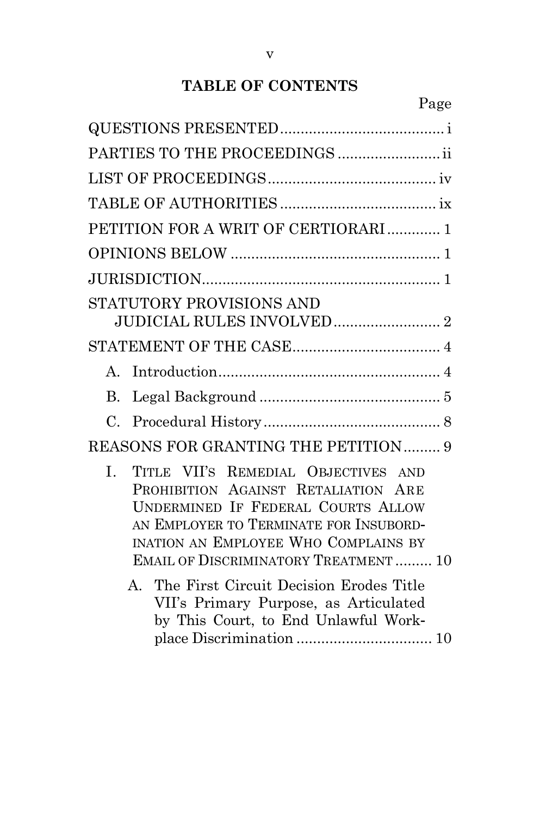### **TABLE OF CONTENTS**

| PETITION FOR A WRIT OF CERTIORARI  1                                                                                                                                                                                                                                                                                                                    |
|---------------------------------------------------------------------------------------------------------------------------------------------------------------------------------------------------------------------------------------------------------------------------------------------------------------------------------------------------------|
|                                                                                                                                                                                                                                                                                                                                                         |
|                                                                                                                                                                                                                                                                                                                                                         |
| STATUTORY PROVISIONS AND                                                                                                                                                                                                                                                                                                                                |
|                                                                                                                                                                                                                                                                                                                                                         |
| $\mathbf{A}$                                                                                                                                                                                                                                                                                                                                            |
| $\bf{B}$                                                                                                                                                                                                                                                                                                                                                |
| $\mathcal{C}$ .                                                                                                                                                                                                                                                                                                                                         |
| REASONS FOR GRANTING THE PETITION 9                                                                                                                                                                                                                                                                                                                     |
| L.<br>TITLE VII'S REMEDIAL OBJECTIVES AND<br>PROHIBITION AGAINST RETALIATION ARE<br>UNDERMINED IF FEDERAL COURTS ALLOW<br>AN EMPLOYER TO TERMINATE FOR INSUBORD-<br>INATION AN EMPLOYEE WHO COMPLAINS BY<br><b>EMAIL OF DISCRIMINATORY TREATMENT  10</b><br>The First Circuit Decision Erodes Title<br>$A_{-}$<br>VII's Primary Purpose, as Articulated |
| by This Court, to End Unlawful Work-                                                                                                                                                                                                                                                                                                                    |
|                                                                                                                                                                                                                                                                                                                                                         |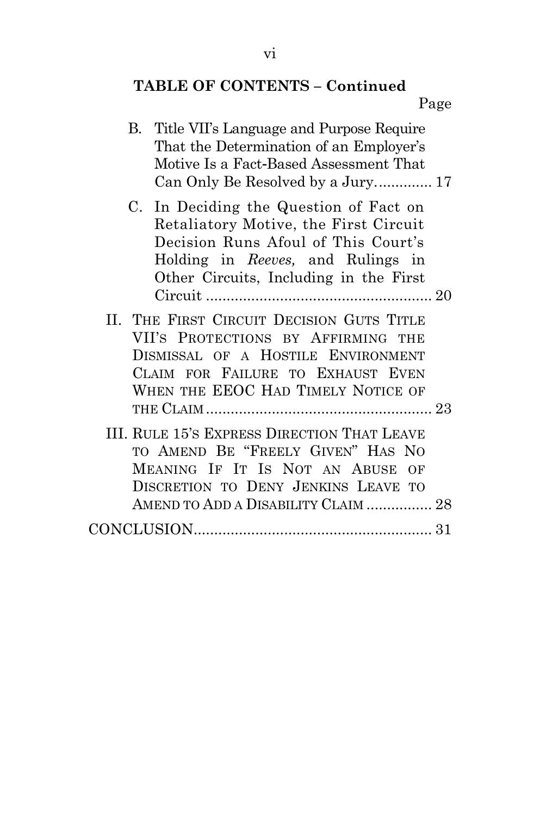# **TABLE OF CONTENTS – Continued**

| B. Title VII's Language and Purpose Require |  |
|---------------------------------------------|--|
| That the Determination of an Employer's     |  |
| Motive Is a Fact-Based Assessment That      |  |
| Can Only Be Resolved by a Jury 17           |  |
|                                             |  |

- C. [In Deciding the Question of Fact on](#page-32-0)  [Retaliatory Motive, the First Circuit](#page-32-0)  [Decision Runs Afoul of This Court's](#page-32-0)  [Holding in](#page-32-0) *Reeves,* and Rulings in [Other Circuits, Including in the First](#page-32-0)  Circuit [.......................................................](#page-32-0) 20
- II. THE FIRST CIRCUIT D[ECISION](#page-35-0) GUTS TITLE VII'S P[ROTECTIONS BY](#page-35-0) AFFIRMING THE D[ISMISSAL OF A](#page-35-0) HOSTILE ENVIRONMENT CLAIM FOR F[AILURE TO](#page-35-0) EXHAUST EVEN WHEN THE EEOC HAD TIMELY N[OTICE OF](#page-35-0)  THE CLAIM [.......................................................](#page-35-0) 23
- III. RULE 15'S EXPRESS D[IRECTION](#page-40-0) THAT LEAVE TO AMEND BE "F[REELY](#page-40-0) GIVEN" HAS NO MEANING IF IT IS NOT AN A[BUSE OF](#page-40-0)  D[ISCRETION TO](#page-40-0) DENY JENKINS LEAVE TO AMEND TO ADD A DISABILITY CLAIM [................](#page-40-0) 28 [CONCLUSION..........................................................](#page-43-0) 31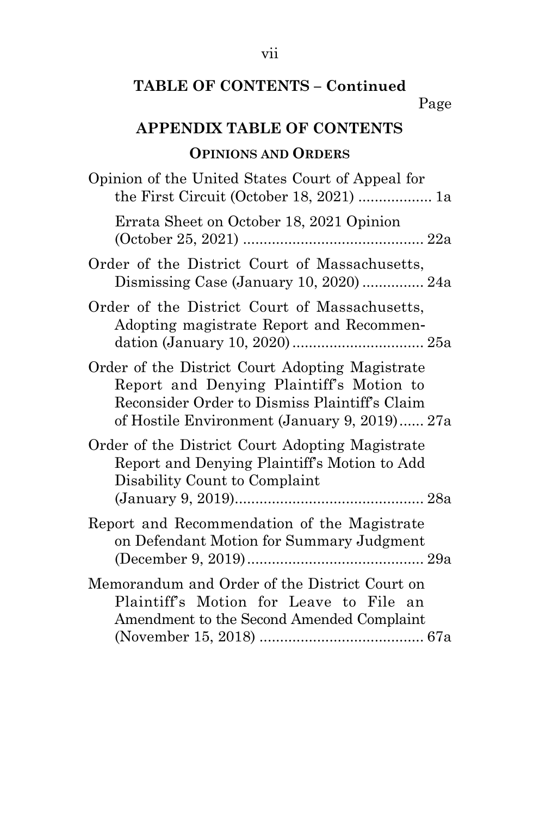### **TABLE OF CONTENTS – Continued**

### **APPENDIX TABLE OF CONTENTS**

### **OPINIONS AND ORDERS**

| Opinion of the United States Court of Appeal for                                                                                                                                             |
|----------------------------------------------------------------------------------------------------------------------------------------------------------------------------------------------|
| Errata Sheet on October 18, 2021 Opinion                                                                                                                                                     |
| Order of the District Court of Massachusetts,<br>Dismissing Case (January 10, 2020) 24a                                                                                                      |
| Order of the District Court of Massachusetts,<br>Adopting magistrate Report and Recommen-                                                                                                    |
| Order of the District Court Adopting Magistrate<br>Report and Denying Plaintiff's Motion to<br>Reconsider Order to Dismiss Plaintiff's Claim<br>of Hostile Environment (January 9, 2019) 27a |
| Order of the District Court Adopting Magistrate<br>Report and Denying Plaintiff's Motion to Add<br>Disability Count to Complaint                                                             |
| Report and Recommendation of the Magistrate<br>on Defendant Motion for Summary Judgment                                                                                                      |
| Memorandum and Order of the District Court on<br>Plaintiff's Motion for Leave to File an<br>Amendment to the Second Amended Complaint                                                        |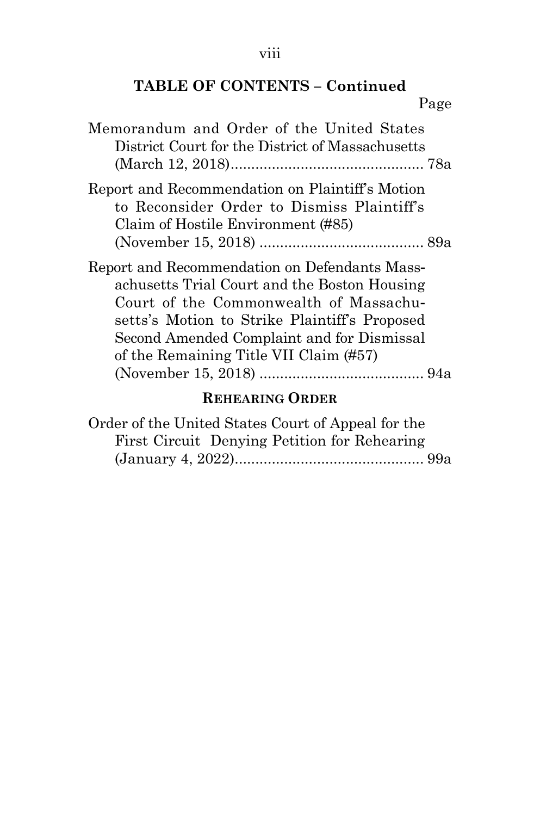# **TABLE OF CONTENTS – Continued**

Page

| Memorandum and Order of the United States<br>District Court for the District of Massachusetts                                                                                                                                                                                    |
|----------------------------------------------------------------------------------------------------------------------------------------------------------------------------------------------------------------------------------------------------------------------------------|
| Report and Recommendation on Plaintiff's Motion<br>to Reconsider Order to Dismiss Plaintiff's<br>Claim of Hostile Environment (#85)                                                                                                                                              |
| Report and Recommendation on Defendants Mass-<br>achusetts Trial Court and the Boston Housing<br>Court of the Commonwealth of Massachu-<br>setts's Motion to Strike Plaintiff's Proposed<br>Second Amended Complaint and for Dismissal<br>of the Remaining Title VII Claim (#57) |

### **REHEARING ORDER**

| Order of the United States Court of Appeal for the |  |
|----------------------------------------------------|--|
| First Circuit Denying Petition for Rehearing       |  |
|                                                    |  |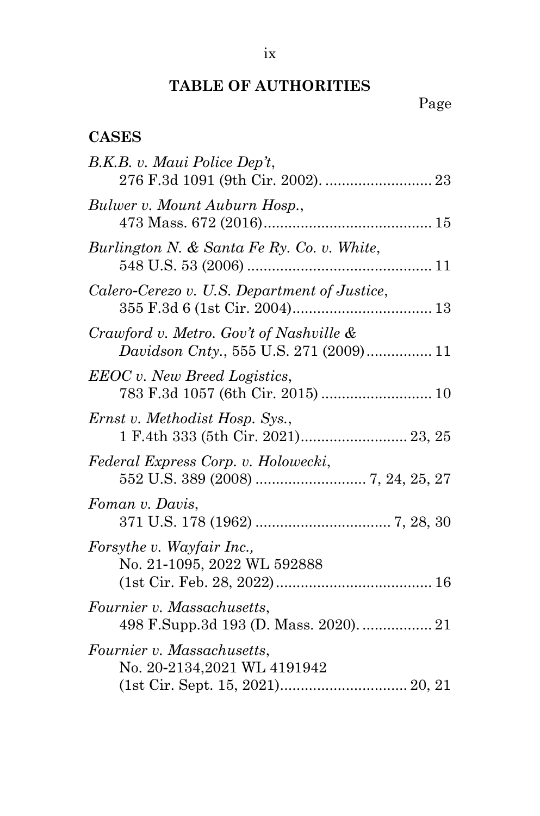### **TABLE OF AUTHORITIES**

### Page

### <span id="page-9-0"></span>**CASES**

| B.K.B. v. Maui Police Dep't,                                                      |
|-----------------------------------------------------------------------------------|
| Bulwer v. Mount Auburn Hosp.,                                                     |
| Burlington N. & Santa Fe Ry. Co. v. White,                                        |
| Calero-Cerezo v. U.S. Department of Justice,                                      |
| Crawford v. Metro. Gov't of Nashville &<br>Davidson Cnty., 555 U.S. 271 (2009) 11 |
| <b>EEOC</b> v. New Breed Logistics,<br>783 F.3d 1057 (6th Cir. 2015)  10          |
| Ernst v. Methodist Hosp. Sys.,<br>1 F.4th 333 (5th Cir. 2021) 23, 25              |
| Federal Express Corp. v. Holowecki,                                               |
| Foman v. Davis,                                                                   |
| Forsythe v. Wayfair Inc.,<br>No. 21-1095, 2022 WL 592888                          |
| Fournier v. Massachusetts,<br>498 F.Supp.3d 193 (D. Mass. 2020).  21              |
| Fournier v. Massachusetts,<br>No. 20-2134,2021 WL 4191942                         |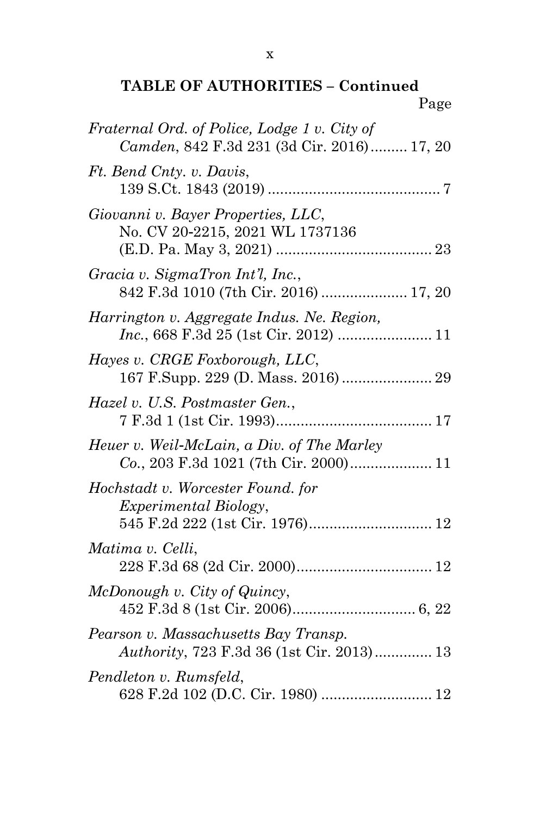### **TABLE OF AUTHORITIES – Continued** Page

| Fraternal Ord. of Police, Lodge 1 v. City of<br>Camden, 842 F.3d 231 (3d Cir. 2016) 17, 20           |
|------------------------------------------------------------------------------------------------------|
| Ft. Bend Cnty. v. Davis,                                                                             |
| Giovanni v. Bayer Properties, LLC,<br>No. CV 20-2215, 2021 WL 1737136                                |
| Gracia v. SigmaTron Int'l, Inc.,<br>842 F.3d 1010 (7th Cir. 2016)  17, 20                            |
| Harrington v. Aggregate Indus. Ne. Region,<br>Inc., 668 F.3d 25 (1st Cir. 2012)  11                  |
| Hayes v. CRGE Foxborough, LLC,<br>167 F.Supp. 229 (D. Mass. 2016)  29                                |
| Hazel v. U.S. Postmaster Gen.,                                                                       |
| Heuer v. Weil-McLain, a Div. of The Marley<br>Co., 203 F.3d 1021 (7th Cir. 2000) 11                  |
| Hochstadt v. Worcester Found. for<br><i>Experimental Biology,</i><br>545 F.2d 222 (1st Cir. 1976) 12 |
| Matima v. Celli,                                                                                     |
| McDonough v. City of Quincy,                                                                         |
| Pearson v. Massachusetts Bay Transp.<br>Authority, 723 F.3d 36 (1st Cir. 2013) 13                    |
| Pendleton v. Rumsfeld,<br>628 F.2d 102 (D.C. Cir. 1980)  12                                          |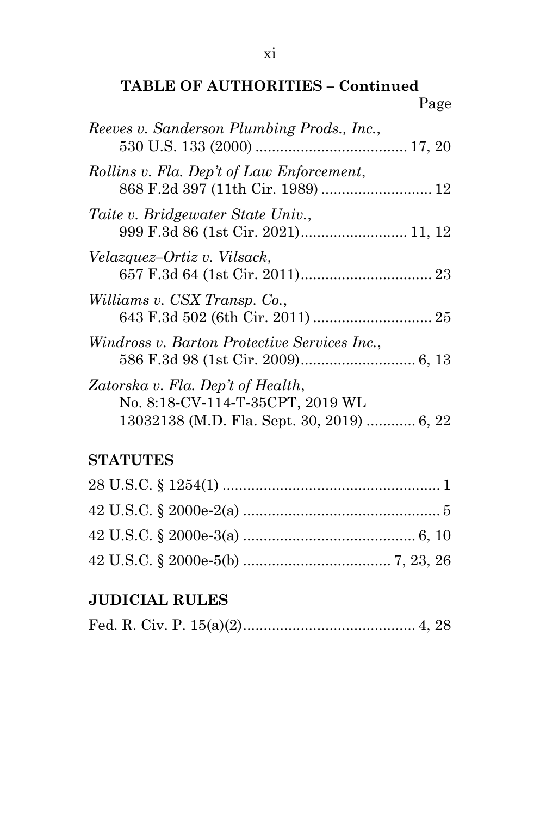### **TABLE OF AUTHORITIES – Continued** Page

| Reeves v. Sanderson Plumbing Prods., Inc.,                                                                          |  |
|---------------------------------------------------------------------------------------------------------------------|--|
| Rollins v. Fla. Dep't of Law Enforcement,                                                                           |  |
| Taite v. Bridgewater State Univ.,                                                                                   |  |
| Velazquez-Ortiz v. Vilsack,                                                                                         |  |
| Williams v. CSX Transp. Co.,                                                                                        |  |
| Windross v. Barton Protective Services Inc.,                                                                        |  |
| Zatorska v. Fla. Dep't of Health,<br>No. 8:18-CV-114-T-35CPT, 2019 WL<br>13032138 (M.D. Fla. Sept. 30, 2019)  6, 22 |  |

### **STATUTES**

### **JUDICIAL RULES**

|--|--|--|--|--|--|--|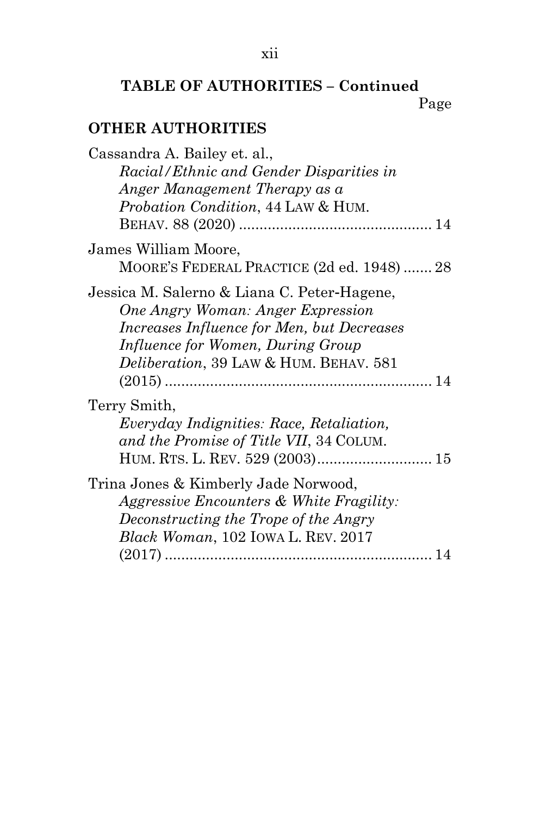### **TABLE OF AUTHORITIES – Continued**

Page

### **OTHER AUTHORITIES**

| Cassandra A. Bailey et. al.,<br>Racial/Ethnic and Gender Disparities in<br>Anger Management Therapy as a<br><i>Probation Condition, 44 LAW &amp; HUM.</i>                                                     |  |
|---------------------------------------------------------------------------------------------------------------------------------------------------------------------------------------------------------------|--|
|                                                                                                                                                                                                               |  |
| James William Moore,<br>MOORE'S FEDERAL PRACTICE (2d ed. 1948)  28                                                                                                                                            |  |
| Jessica M. Salerno & Liana C. Peter-Hagene,<br>One Angry Woman: Anger Expression<br>Increases Influence for Men, but Decreases<br>Influence for Women, During Group<br>Deliberation, 39 LAW & HUM. BEHAV. 581 |  |
| Terry Smith,<br><i>Everyday Indignities: Race, Retaliation,</i><br>and the Promise of Title VII, 34 COLUM.                                                                                                    |  |
| Trina Jones & Kimberly Jade Norwood,<br>Aggressive Encounters & White Fragility:<br>Deconstructing the Trope of the Angry<br><i>Black Woman</i> , 102 IOWA L. REV. 2017                                       |  |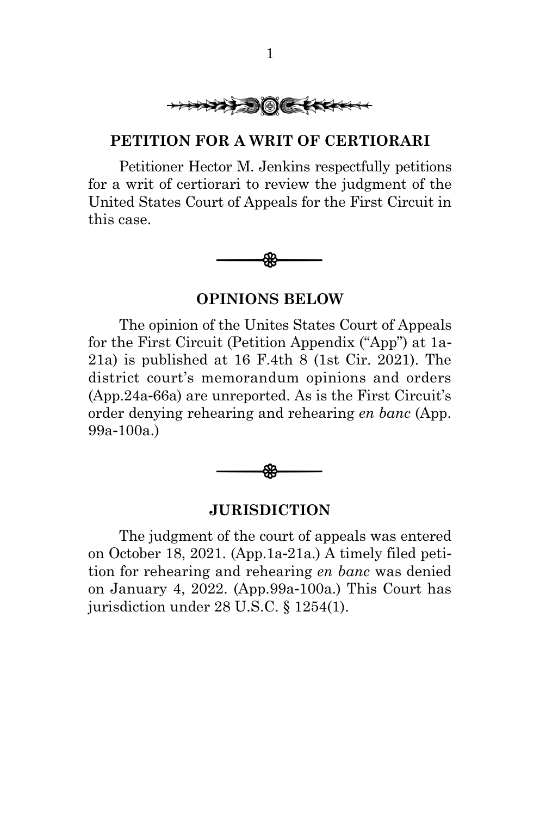

#### <span id="page-13-0"></span>**PETITION FOR A WRIT OF CERTIORARI**

Petitioner Hector M. Jenkins respectfully petitions for a writ of certiorari to review the judgment of the United States Court of Appeals for the First Circuit in this case.



#### **OPINIONS BELOW**

<span id="page-13-1"></span>The opinion of the Unites States Court of Appeals for the First Circuit (Petition Appendix ("App") at 1a-21a) is published at 16 F.4th 8 (1st Cir. 2021). The district court's memorandum opinions and orders (App.24a-66a) are unreported. As is the First Circuit's order denying rehearing and rehearing *en banc* (App. 99a-100a.)



#### **JURISDICTION**

<span id="page-13-2"></span>The judgment of the court of appeals was entered on October 18, 2021. (App.1a-21a.) A timely filed petition for rehearing and rehearing *en banc* was denied on January 4, 2022. (App.99a-100a.) This Court has jurisdiction under 28 U.S.C. § 1254(1).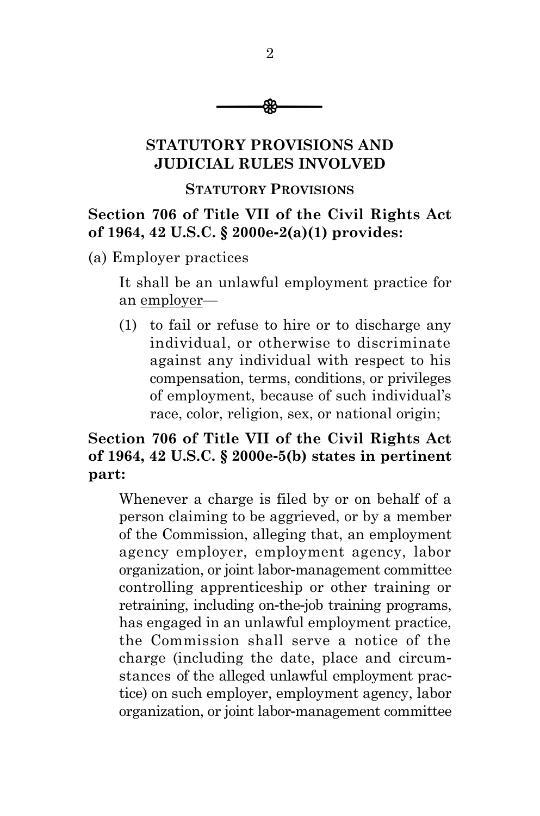

### <span id="page-14-0"></span>**STATUTORY PROVISIONS AND JUDICIAL RULES INVOLVED**

#### **STATUTORY PROVISIONS**

### **Section 706 of Title VII of the Civil Rights Act of 1964, 42 U.S.C. § 2000e-2(a)(1) provides:**

(a) Employer practices

It shall be an unlawful employment practice for an employer—

(1) to fail or refuse to hire or to discharge any individual, or otherwise to discriminate against any individual with respect to his compensation, terms, conditions, or privileges of employment, because of such individual's race, color, religion, sex, or national origin;

### **Section 706 of Title VII of the Civil Rights Act of 1964, 42 U.S.C. § 2000e-5(b) states in pertinent part:**

Whenever a charge is filed by or on behalf of a person claiming to be aggrieved, or by a member of the Commission, alleging that, an employment agency employer, employment agency, labor organization, or joint labor-management committee controlling apprenticeship or other training or retraining, including on-the-job training programs, has engaged in an unlawful employment practice, the Commission shall serve a notice of the charge (including the date, place and circumstances of the alleged unlawful employment practice) on such employer, employment agency, labor organization, or joint labor-management committee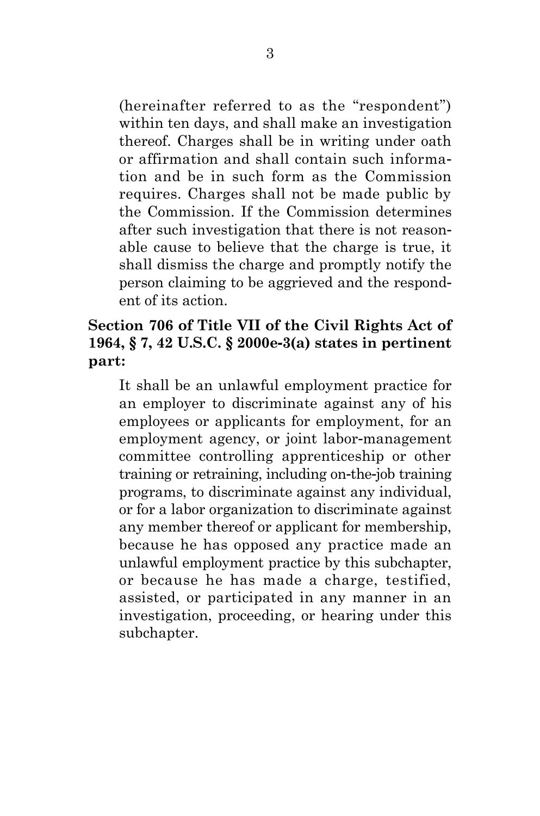(hereinafter referred to as the "respondent") within ten days, and shall make an investigation thereof. Charges shall be in writing under oath or affirmation and shall contain such information and be in such form as the Commission requires. Charges shall not be made public by the Commission. If the Commission determines after such investigation that there is not reasonable cause to believe that the charge is true, it shall dismiss the charge and promptly notify the person claiming to be aggrieved and the respondent of its action.

### **Section 706 of Title VII of the Civil Rights Act of 1964, § 7, 42 U.S.C. § 2000e-3(a) states in pertinent part:**

It shall be an unlawful employment practice for an employer to discriminate against any of his employees or applicants for employment, for an employment agency, or joint labor-management committee controlling apprenticeship or other training or retraining, including on-the-job training programs, to discriminate against any individual, or for a labor organization to discriminate against any member thereof or applicant for membership, because he has opposed any practice made an unlawful employment practice by this subchapter, or because he has made a charge, testified, assisted, or participated in any manner in an investigation, proceeding, or hearing under this subchapter.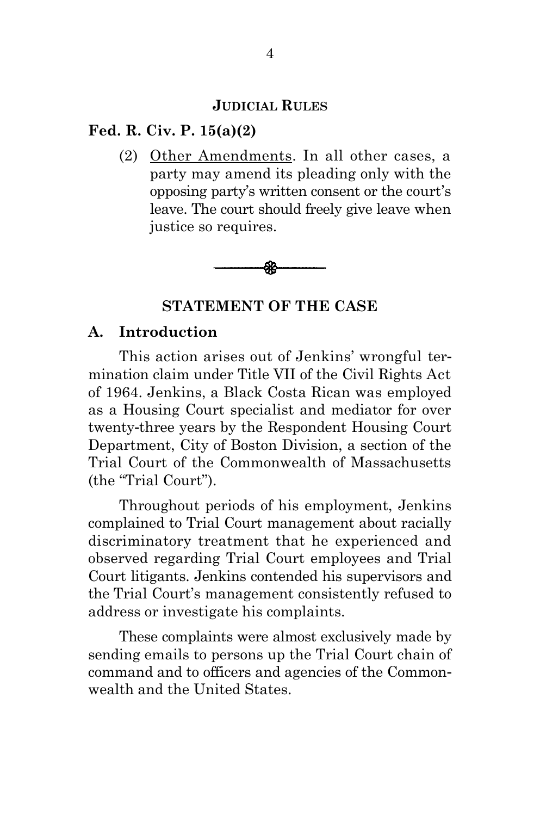#### **JUDICIAL RULES**

#### **Fed. R. Civ. P. 15(a)(2)**

(2) Other Amendments. In all other cases, a party may amend its pleading only with the opposing party's written consent or the court's leave. The court should freely give leave when justice so requires.



**STATEMENT OF THE CASE**

#### <span id="page-16-1"></span><span id="page-16-0"></span>**A. Introduction**

This action arises out of Jenkins' wrongful termination claim under Title VII of the Civil Rights Act of 1964. Jenkins, a Black Costa Rican was employed as a Housing Court specialist and mediator for over twenty-three years by the Respondent Housing Court Department, City of Boston Division, a section of the Trial Court of the Commonwealth of Massachusetts (the "Trial Court").

Throughout periods of his employment, Jenkins complained to Trial Court management about racially discriminatory treatment that he experienced and observed regarding Trial Court employees and Trial Court litigants. Jenkins contended his supervisors and the Trial Court's management consistently refused to address or investigate his complaints.

These complaints were almost exclusively made by sending emails to persons up the Trial Court chain of command and to officers and agencies of the Commonwealth and the United States.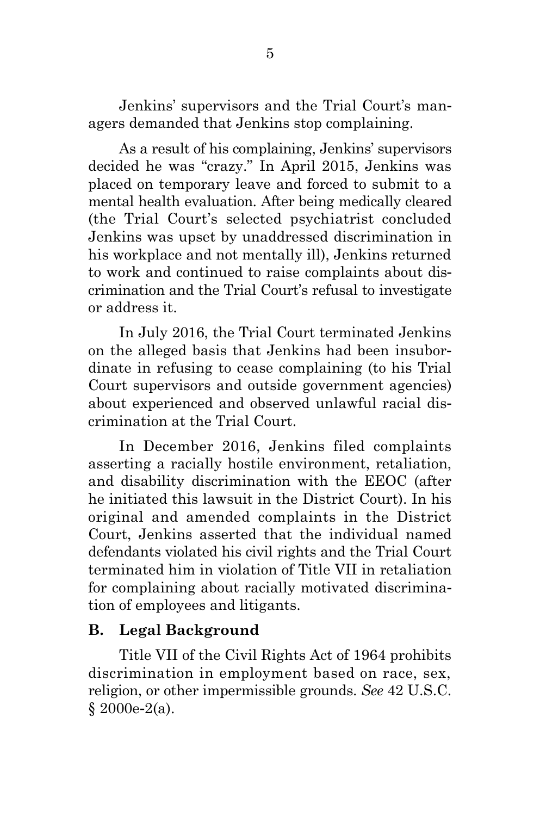Jenkins' supervisors and the Trial Court's managers demanded that Jenkins stop complaining.

As a result of his complaining, Jenkins' supervisors decided he was "crazy." In April 2015, Jenkins was placed on temporary leave and forced to submit to a mental health evaluation. After being medically cleared (the Trial Court's selected psychiatrist concluded Jenkins was upset by unaddressed discrimination in his workplace and not mentally ill), Jenkins returned to work and continued to raise complaints about discrimination and the Trial Court's refusal to investigate or address it.

In July 2016, the Trial Court terminated Jenkins on the alleged basis that Jenkins had been insubordinate in refusing to cease complaining (to his Trial Court supervisors and outside government agencies) about experienced and observed unlawful racial discrimination at the Trial Court.

In December 2016, Jenkins filed complaints asserting a racially hostile environment, retaliation, and disability discrimination with the EEOC (after he initiated this lawsuit in the District Court). In his original and amended complaints in the District Court, Jenkins asserted that the individual named defendants violated his civil rights and the Trial Court terminated him in violation of Title VII in retaliation for complaining about racially motivated discrimination of employees and litigants.

### <span id="page-17-0"></span>**B. Legal Background**

Title VII of the Civil Rights Act of 1964 prohibits discrimination in employment based on race, sex, religion, or other impermissible grounds. *See* 42 U.S.C. § 2000e-2(a).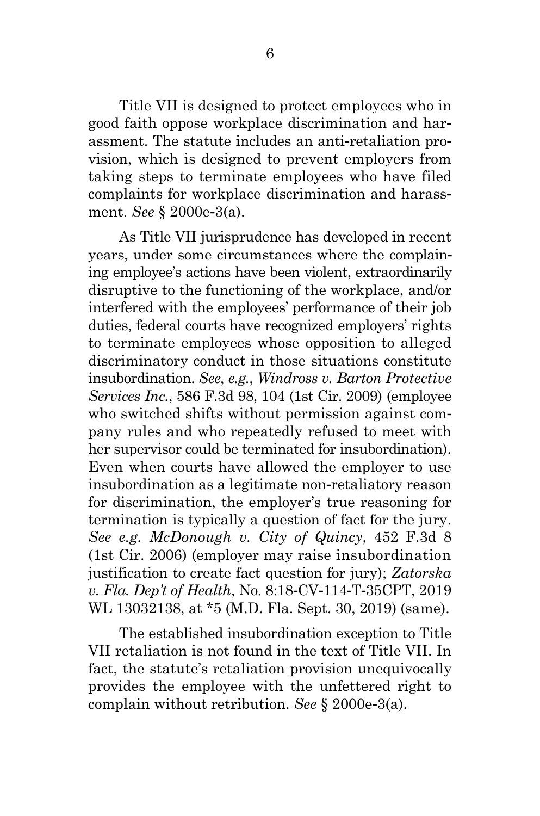Title VII is designed to protect employees who in good faith oppose workplace discrimination and harassment. The statute includes an anti-retaliation provision, which is designed to prevent employers from taking steps to terminate employees who have filed complaints for workplace discrimination and harassment. *See* § 2000e-3(a).

As Title VII jurisprudence has developed in recent years, under some circumstances where the complaining employee's actions have been violent, extraordinarily disruptive to the functioning of the workplace, and/or interfered with the employees' performance of their job duties, federal courts have recognized employers' rights to terminate employees whose opposition to alleged discriminatory conduct in those situations constitute insubordination. *See*, *e.g.*, *Windross v. Barton Protective Services Inc.*, 586 F.3d 98, 104 (1st Cir. 2009) (employee who switched shifts without permission against company rules and who repeatedly refused to meet with her supervisor could be terminated for insubordination). Even when courts have allowed the employer to use insubordination as a legitimate non-retaliatory reason for discrimination, the employer's true reasoning for termination is typically a question of fact for the jury. *See e.g. McDonough v. City of Quincy*, 452 F.3d 8 (1st Cir. 2006) (employer may raise insubordination justification to create fact question for jury); *Zatorska v. Fla. Dep't of Health*, No. 8:18-CV-114-T-35CPT, 2019 WL 13032138, at \*5 (M.D. Fla. Sept. 30, 2019) (same).

The established insubordination exception to Title VII retaliation is not found in the text of Title VII. In fact, the statute's retaliation provision unequivocally provides the employee with the unfettered right to complain without retribution. *See* § 2000e-3(a).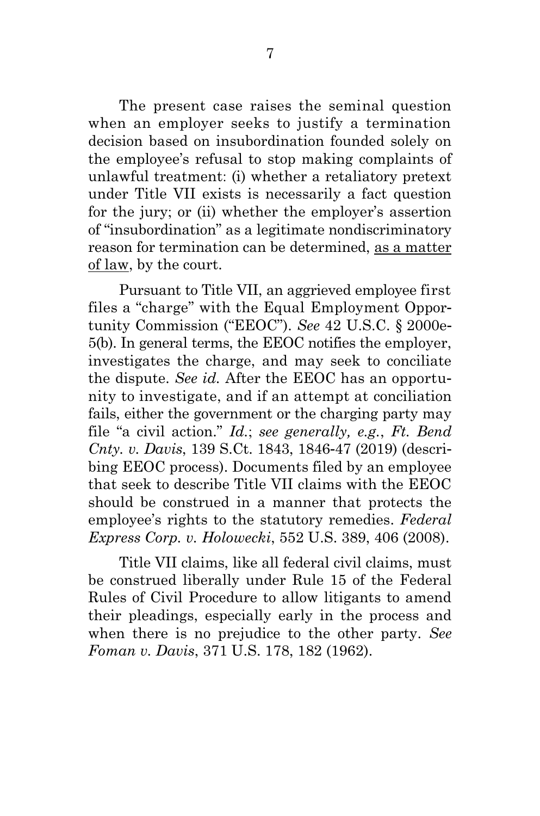The present case raises the seminal question when an employer seeks to justify a termination decision based on insubordination founded solely on the employee's refusal to stop making complaints of unlawful treatment: (i) whether a retaliatory pretext under Title VII exists is necessarily a fact question for the jury; or (ii) whether the employer's assertion of "insubordination" as a legitimate nondiscriminatory reason for termination can be determined, as a matter of law, by the court.

Pursuant to Title VII, an aggrieved employee first files a "charge" with the Equal Employment Opportunity Commission ("EEOC"). *See* 42 U.S.C. § 2000e-5(b). In general terms, the EEOC notifies the employer, investigates the charge, and may seek to conciliate the dispute. *See id.* After the EEOC has an opportunity to investigate, and if an attempt at conciliation fails, either the government or the charging party may file "a civil action." *Id.*; *see generally, e.g.*, *Ft. Bend Cnty. v. Davis*, 139 S.Ct. 1843, 1846-47 (2019) (describing EEOC process). Documents filed by an employee that seek to describe Title VII claims with the EEOC should be construed in a manner that protects the employee's rights to the statutory remedies. *Federal Express Corp. v. Holowecki*, 552 U.S. 389, 406 (2008).

Title VII claims, like all federal civil claims, must be construed liberally under Rule 15 of the Federal Rules of Civil Procedure to allow litigants to amend their pleadings, especially early in the process and when there is no prejudice to the other party. *See Foman v. Davis*, 371 U.S. 178, 182 (1962).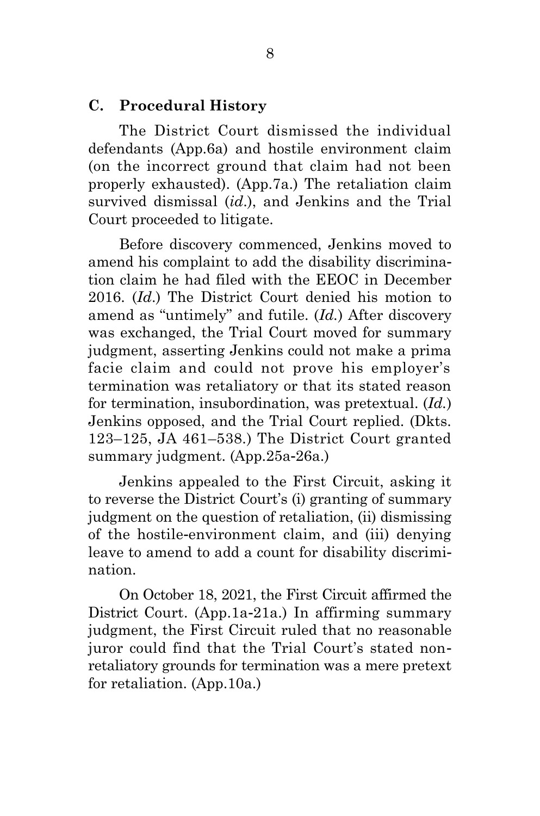#### <span id="page-20-0"></span>**C. Procedural History**

The District Court dismissed the individual defendants (App.6a) and hostile environment claim (on the incorrect ground that claim had not been properly exhausted). (App.7a.) The retaliation claim survived dismissal (*id*.), and Jenkins and the Trial Court proceeded to litigate.

Before discovery commenced, Jenkins moved to amend his complaint to add the disability discrimination claim he had filed with the EEOC in December 2016. (*Id*.) The District Court denied his motion to amend as "untimely" and futile. (*Id.*) After discovery was exchanged, the Trial Court moved for summary judgment, asserting Jenkins could not make a prima facie claim and could not prove his employer's termination was retaliatory or that its stated reason for termination, insubordination, was pretextual. (*Id.*) Jenkins opposed, and the Trial Court replied. (Dkts. 123–125, JA 461–538.) The District Court granted summary judgment. (App.25a-26a.)

Jenkins appealed to the First Circuit, asking it to reverse the District Court's (i) granting of summary judgment on the question of retaliation, (ii) dismissing of the hostile-environment claim, and (iii) denying leave to amend to add a count for disability discrimination.

On October 18, 2021, the First Circuit affirmed the District Court. (App.1a-21a.) In affirming summary judgment, the First Circuit ruled that no reasonable juror could find that the Trial Court's stated nonretaliatory grounds for termination was a mere pretext for retaliation. (App.10a.)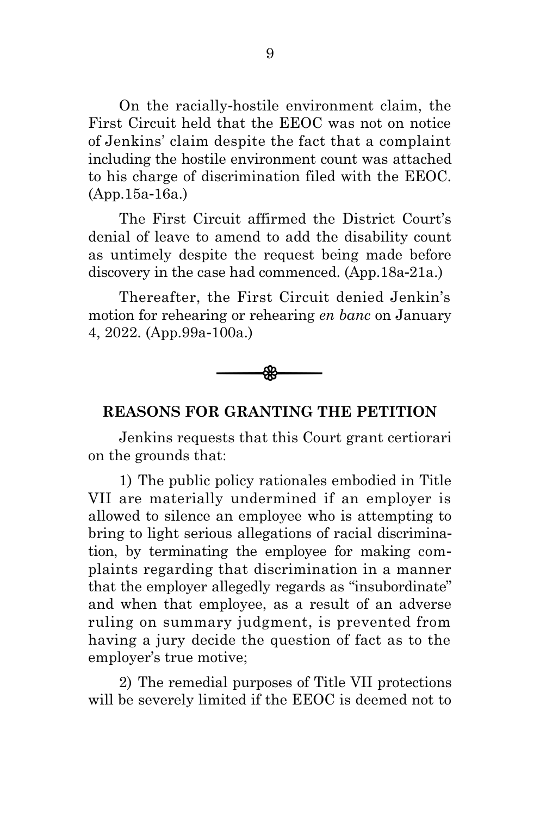On the racially-hostile environment claim, the First Circuit held that the EEOC was not on notice of Jenkins' claim despite the fact that a complaint including the hostile environment count was attached to his charge of discrimination filed with the EEOC. (App.15a-16a.)

The First Circuit affirmed the District Court's denial of leave to amend to add the disability count as untimely despite the request being made before discovery in the case had commenced. (App.18a-21a.)

Thereafter, the First Circuit denied Jenkin's motion for rehearing or rehearing *en banc* on January 4, 2022. (App.99a-100a.)



#### <span id="page-21-0"></span>**REASONS FOR GRANTING THE PETITION**

Jenkins requests that this Court grant certiorari on the grounds that:

1) The public policy rationales embodied in Title VII are materially undermined if an employer is allowed to silence an employee who is attempting to bring to light serious allegations of racial discrimination, by terminating the employee for making complaints regarding that discrimination in a manner that the employer allegedly regards as "insubordinate" and when that employee, as a result of an adverse ruling on summary judgment, is prevented from having a jury decide the question of fact as to the employer's true motive;

2) The remedial purposes of Title VII protections will be severely limited if the EEOC is deemed not to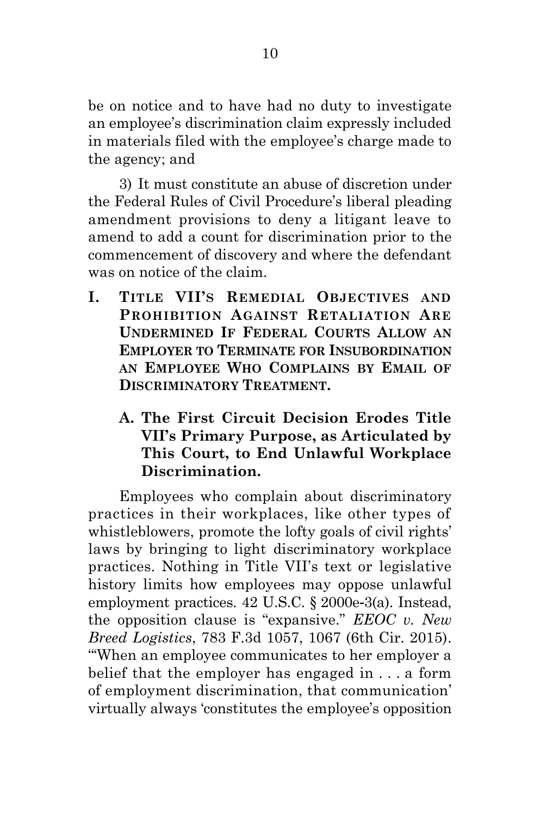be on notice and to have had no duty to investigate an employee's discrimination claim expressly included in materials filed with the employee's charge made to the agency; and

3) It must constitute an abuse of discretion under the Federal Rules of Civil Procedure's liberal pleading amendment provisions to deny a litigant leave to amend to add a count for discrimination prior to the commencement of discovery and where the defendant was on notice of the claim.

- <span id="page-22-0"></span>**I. TITLE VII'S REMEDIAL OBJECTIVES AND PROHIBITION AGAINST RETALIATION ARE UNDERMINED IF FEDERAL COURTS ALLOW AN EMPLOYER TO TERMINATE FOR INSUBORDINATION AN EMPLOYEE WHO COMPLAINS BY EMAIL OF DISCRIMINATORY TREATMENT.**
	- **A. The First Circuit Decision Erodes Title VII's Primary Purpose, as Articulated by This Court, to End Unlawful Workplace Discrimination.**

<span id="page-22-1"></span>Employees who complain about discriminatory practices in their workplaces, like other types of whistleblowers, promote the lofty goals of civil rights' laws by bringing to light discriminatory workplace practices. Nothing in Title VII's text or legislative history limits how employees may oppose unlawful employment practices. 42 U.S.C. § 2000e-3(a). Instead, the opposition clause is "expansive." *EEOC v. New Breed Logistics*, 783 F.3d 1057, 1067 (6th Cir. 2015). "'When an employee communicates to her employer a belief that the employer has engaged in . . . a form of employment discrimination, that communication' virtually always 'constitutes the employee's opposition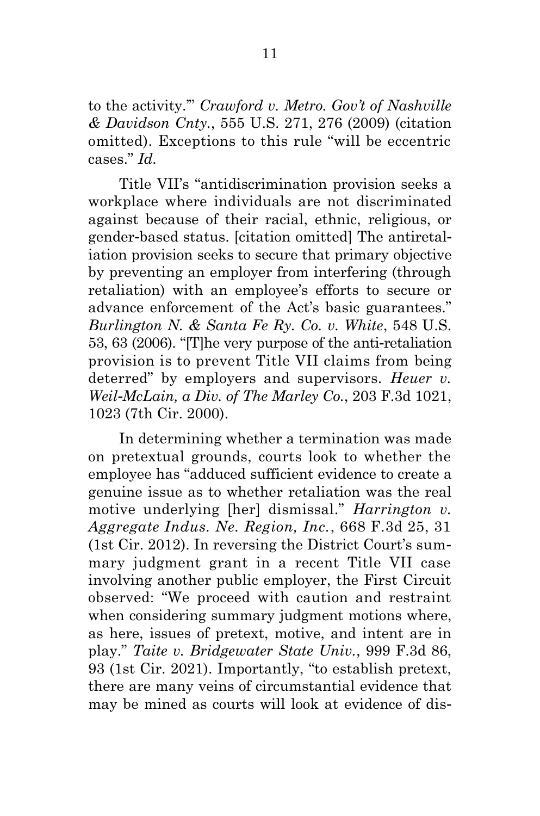to the activity.'" *Crawford v. Metro. Gov't of Nashville & Davidson Cnty.*, 555 U.S. 271, 276 (2009) (citation omitted). Exceptions to this rule "will be eccentric cases." *Id.*

Title VII's "antidiscrimination provision seeks a workplace where individuals are not discriminated against because of their racial, ethnic, religious, or gender-based status. [citation omitted] The antiretaliation provision seeks to secure that primary objective by preventing an employer from interfering (through retaliation) with an employee's efforts to secure or advance enforcement of the Act's basic guarantees." *Burlington N. & Santa Fe Ry. Co. v. White*, 548 U.S. 53, 63 (2006). "[T]he very purpose of the anti-retaliation provision is to prevent Title VII claims from being deterred" by employers and supervisors. *Heuer v. Weil-McLain, a Div. of The Marley Co.*, 203 F.3d 1021, 1023 (7th Cir. 2000).

In determining whether a termination was made on pretextual grounds, courts look to whether the employee has "adduced sufficient evidence to create a genuine issue as to whether retaliation was the real motive underlying [her] dismissal." *Harrington v. Aggregate Indus. Ne. Region, Inc.*, 668 F.3d 25, 31 (1st Cir. 2012). In reversing the District Court's summary judgment grant in a recent Title VII case involving another public employer, the First Circuit observed: "We proceed with caution and restraint when considering summary judgment motions where, as here, issues of pretext, motive, and intent are in play." *Taite v. Bridgewater State Univ.*, 999 F.3d 86, 93 (1st Cir. 2021). Importantly, "to establish pretext, there are many veins of circumstantial evidence that may be mined as courts will look at evidence of dis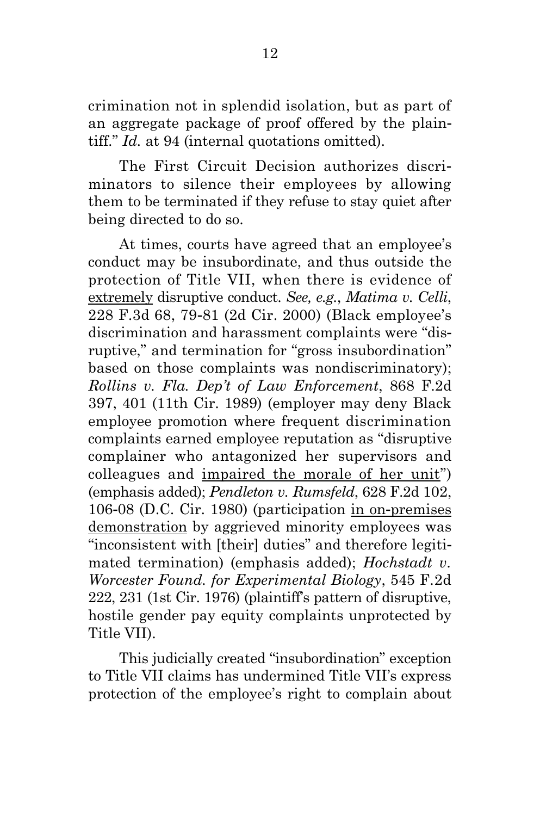crimination not in splendid isolation, but as part of an aggregate package of proof offered by the plaintiff." *Id.* at 94 (internal quotations omitted).

The First Circuit Decision authorizes discriminators to silence their employees by allowing them to be terminated if they refuse to stay quiet after being directed to do so.

At times, courts have agreed that an employee's conduct may be insubordinate, and thus outside the protection of Title VII, when there is evidence of extremely disruptive conduct. *See, e.g.*, *Matima v. Celli*, 228 F.3d 68, 79-81 (2d Cir. 2000) (Black employee's discrimination and harassment complaints were "disruptive," and termination for "gross insubordination" based on those complaints was nondiscriminatory); *Rollins v. Fla. Dep't of Law Enforcement*, 868 F.2d 397, 401 (11th Cir. 1989) (employer may deny Black employee promotion where frequent discrimination complaints earned employee reputation as "disruptive complainer who antagonized her supervisors and colleagues and impaired the morale of her unit") (emphasis added); *Pendleton v. Rumsfeld*, 628 F.2d 102, 106-08 (D.C. Cir. 1980) (participation in on-premises demonstration by aggrieved minority employees was "inconsistent with [their] duties" and therefore legitimated termination) (emphasis added); *Hochstadt v. Worcester Found. for Experimental Biology*, 545 F.2d 222, 231 (1st Cir. 1976) (plaintiff's pattern of disruptive, hostile gender pay equity complaints unprotected by Title VII).

This judicially created "insubordination" exception to Title VII claims has undermined Title VII's express protection of the employee's right to complain about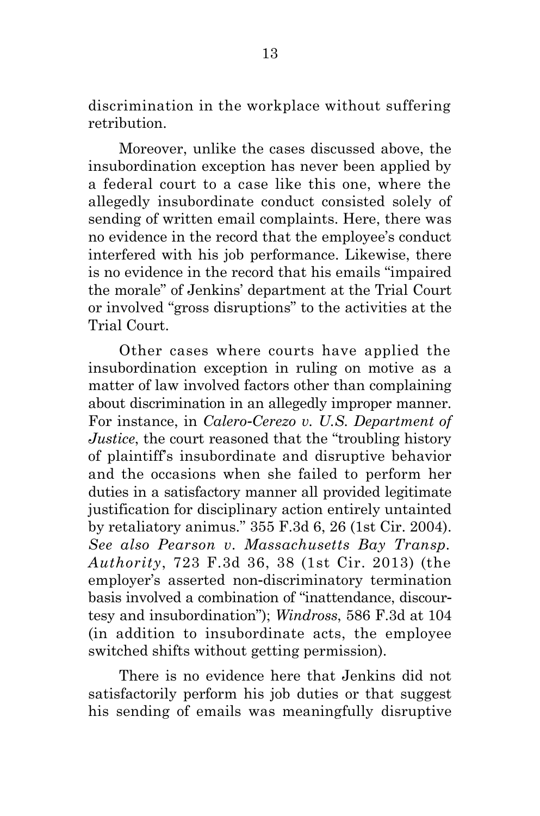discrimination in the workplace without suffering retribution.

Moreover, unlike the cases discussed above, the insubordination exception has never been applied by a federal court to a case like this one, where the allegedly insubordinate conduct consisted solely of sending of written email complaints. Here, there was no evidence in the record that the employee's conduct interfered with his job performance. Likewise, there is no evidence in the record that his emails "impaired the morale" of Jenkins' department at the Trial Court or involved "gross disruptions" to the activities at the Trial Court.

Other cases where courts have applied the insubordination exception in ruling on motive as a matter of law involved factors other than complaining about discrimination in an allegedly improper manner. For instance, in *Calero-Cerezo v. U.S. Department of Justice*, the court reasoned that the "troubling history of plaintiff's insubordinate and disruptive behavior and the occasions when she failed to perform her duties in a satisfactory manner all provided legitimate justification for disciplinary action entirely untainted by retaliatory animus." 355 F.3d 6, 26 (1st Cir. 2004). *See also Pearson v. Massachusetts Bay Transp. Authority*, 723 F.3d 36, 38 (1st Cir. 2013) (the employer's asserted non-discriminatory termination basis involved a combination of "inattendance, discourtesy and insubordination"); *Windross*, 586 F.3d at 104 (in addition to insubordinate acts, the employee switched shifts without getting permission).

There is no evidence here that Jenkins did not satisfactorily perform his job duties or that suggest his sending of emails was meaningfully disruptive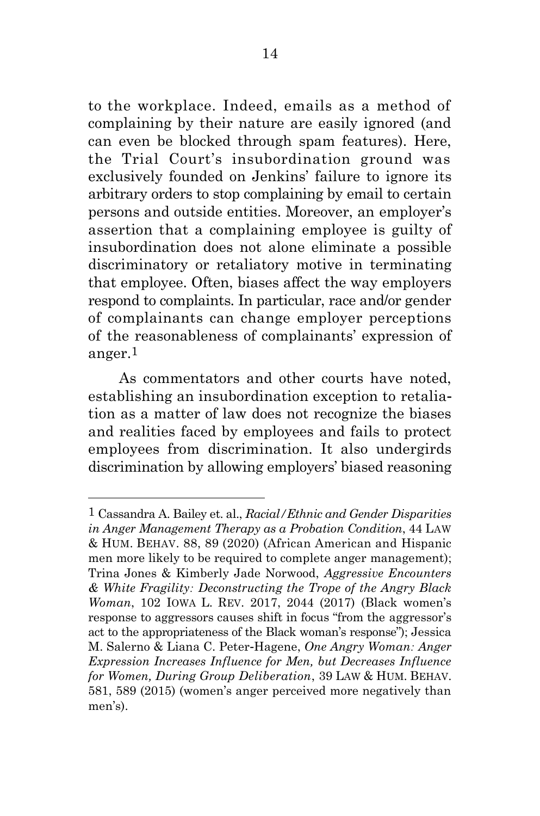to the workplace. Indeed, emails as a method of complaining by their nature are easily ignored (and can even be blocked through spam features). Here, the Trial Court's insubordination ground was exclusively founded on Jenkins' failure to ignore its arbitrary orders to stop complaining by email to certain persons and outside entities. Moreover, an employer's assertion that a complaining employee is guilty of insubordination does not alone eliminate a possible discriminatory or retaliatory motive in terminating that employee. Often, biases affect the way employers respond to complaints. In particular, race and/or gender of complainants can change employer perceptions of the reasonableness of complainants' expression of anger.1

As commentators and other courts have noted, establishing an insubordination exception to retaliation as a matter of law does not recognize the biases and realities faced by employees and fails to protect employees from discrimination. It also undergirds discrimination by allowing employers' biased reasoning

<sup>1</sup> Cassandra A. Bailey et. al., *Racial/Ethnic and Gender Disparities in Anger Management Therapy as a Probation Condition*, 44 LAW & HUM. BEHAV. 88, 89 (2020) (African American and Hispanic men more likely to be required to complete anger management); Trina Jones & Kimberly Jade Norwood, *Aggressive Encounters & White Fragility: Deconstructing the Trope of the Angry Black Woman*, 102 IOWA L. REV. 2017, 2044 (2017) (Black women's response to aggressors causes shift in focus "from the aggressor's act to the appropriateness of the Black woman's response"); Jessica M. Salerno & Liana C. Peter-Hagene, *One Angry Woman: Anger Expression Increases Influence for Men, but Decreases Influence for Women, During Group Deliberation*, 39 LAW & HUM. BEHAV. 581, 589 (2015) (women's anger perceived more negatively than men's).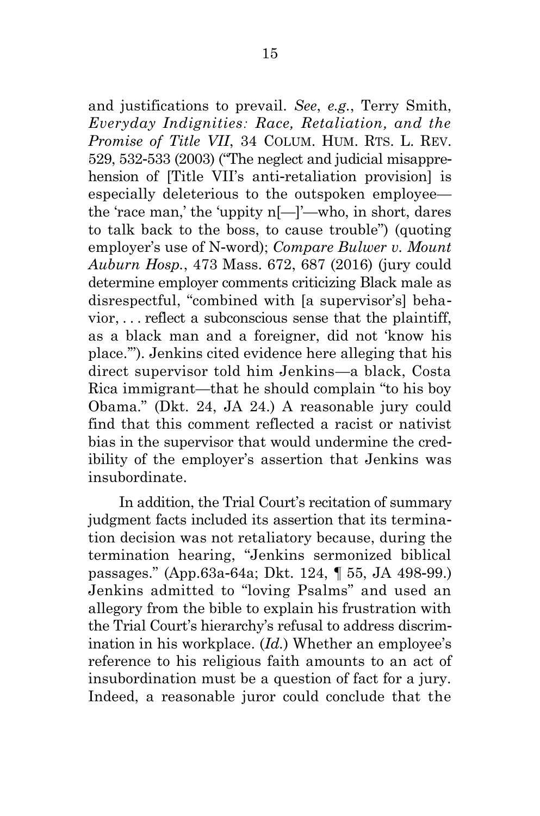and justifications to prevail. *See*, *e.g.*, Terry Smith, *Everyday Indignities: Race, Retaliation, and the Promise of Title VII*, 34 COLUM. HUM. RTS. L. REV. 529, 532-533 (2003) ("The neglect and judicial misapprehension of [Title VII's anti-retaliation provision] is especially deleterious to the outspoken employee the 'race man,' the 'uppity n[—]'—who, in short, dares to talk back to the boss, to cause trouble") (quoting employer's use of N-word); *Compare Bulwer v. Mount Auburn Hosp.*, 473 Mass. 672, 687 (2016) (jury could determine employer comments criticizing Black male as disrespectful, "combined with [a supervisor's] behavior, . . . reflect a subconscious sense that the plaintiff, as a black man and a foreigner, did not 'know his place.'"). Jenkins cited evidence here alleging that his direct supervisor told him Jenkins—a black, Costa Rica immigrant—that he should complain "to his boy Obama." (Dkt. 24, JA 24.) A reasonable jury could find that this comment reflected a racist or nativist bias in the supervisor that would undermine the credibility of the employer's assertion that Jenkins was insubordinate.

In addition, the Trial Court's recitation of summary judgment facts included its assertion that its termination decision was not retaliatory because, during the termination hearing, "Jenkins sermonized biblical passages." (App.63a-64a; Dkt. 124, ¶ 55, JA 498-99.) Jenkins admitted to "loving Psalms" and used an allegory from the bible to explain his frustration with the Trial Court's hierarchy's refusal to address discrimination in his workplace. (*Id.*) Whether an employee's reference to his religious faith amounts to an act of insubordination must be a question of fact for a jury. Indeed, a reasonable juror could conclude that the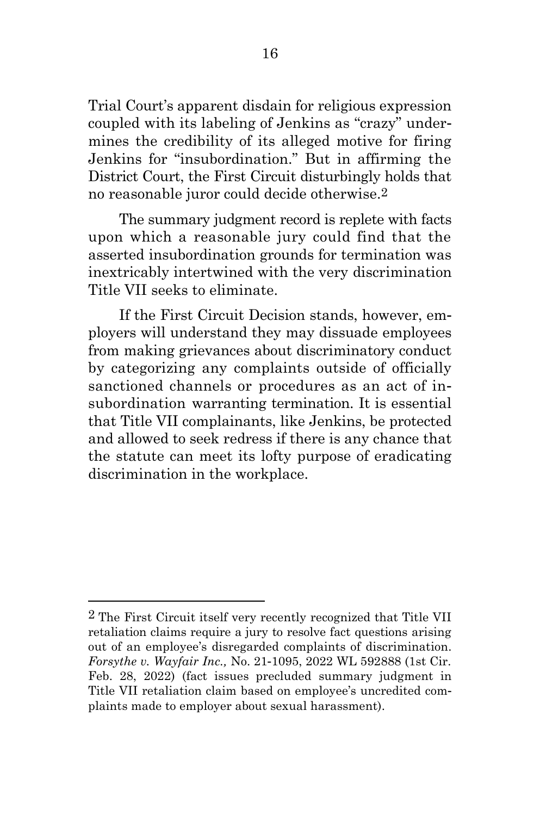Trial Court's apparent disdain for religious expression coupled with its labeling of Jenkins as "crazy" undermines the credibility of its alleged motive for firing Jenkins for "insubordination." But in affirming the District Court, the First Circuit disturbingly holds that no reasonable juror could decide otherwise.2

The summary judgment record is replete with facts upon which a reasonable jury could find that the asserted insubordination grounds for termination was inextricably intertwined with the very discrimination Title VII seeks to eliminate.

If the First Circuit Decision stands, however, employers will understand they may dissuade employees from making grievances about discriminatory conduct by categorizing any complaints outside of officially sanctioned channels or procedures as an act of insubordination warranting termination. It is essential that Title VII complainants, like Jenkins, be protected and allowed to seek redress if there is any chance that the statute can meet its lofty purpose of eradicating discrimination in the workplace.

<sup>2</sup> The First Circuit itself very recently recognized that Title VII retaliation claims require a jury to resolve fact questions arising out of an employee's disregarded complaints of discrimination. *Forsythe v. Wayfair Inc.,* No. 21-1095, 2022 WL 592888 (1st Cir. Feb. 28, 2022) (fact issues precluded summary judgment in Title VII retaliation claim based on employee's uncredited complaints made to employer about sexual harassment).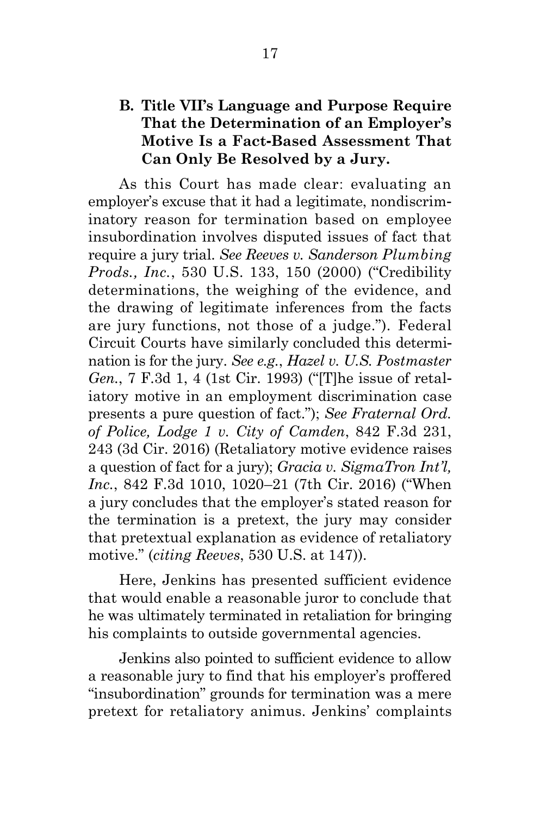#### <span id="page-29-0"></span>**B. Title VII's Language and Purpose Require That the Determination of an Employer's Motive Is a Fact-Based Assessment That Can Only Be Resolved by a Jury.**

As this Court has made clear: evaluating an employer's excuse that it had a legitimate, nondiscriminatory reason for termination based on employee insubordination involves disputed issues of fact that require a jury trial. *See Reeves v. Sanderson Plumbing Prods., Inc.*, 530 U.S. 133, 150 (2000) ("Credibility determinations, the weighing of the evidence, and the drawing of legitimate inferences from the facts are jury functions, not those of a judge."). Federal Circuit Courts have similarly concluded this determination is for the jury. *See e.g.*, *Hazel v. U.S. Postmaster Gen.*, 7 F.3d 1, 4 (1st Cir. 1993) ("[T]he issue of retaliatory motive in an employment discrimination case presents a pure question of fact."); *See Fraternal Ord. of Police, Lodge 1 v. City of Camden*, 842 F.3d 231, 243 (3d Cir. 2016) (Retaliatory motive evidence raises a question of fact for a jury); *Gracia v. SigmaTron Int'l, Inc.*, 842 F.3d 1010, 1020–21 (7th Cir. 2016) ("When a jury concludes that the employer's stated reason for the termination is a pretext, the jury may consider that pretextual explanation as evidence of retaliatory motive." (*citing Reeves*, 530 U.S. at 147)).

Here, Jenkins has presented sufficient evidence that would enable a reasonable juror to conclude that he was ultimately terminated in retaliation for bringing his complaints to outside governmental agencies.

Jenkins also pointed to sufficient evidence to allow a reasonable jury to find that his employer's proffered "insubordination" grounds for termination was a mere pretext for retaliatory animus. Jenkins' complaints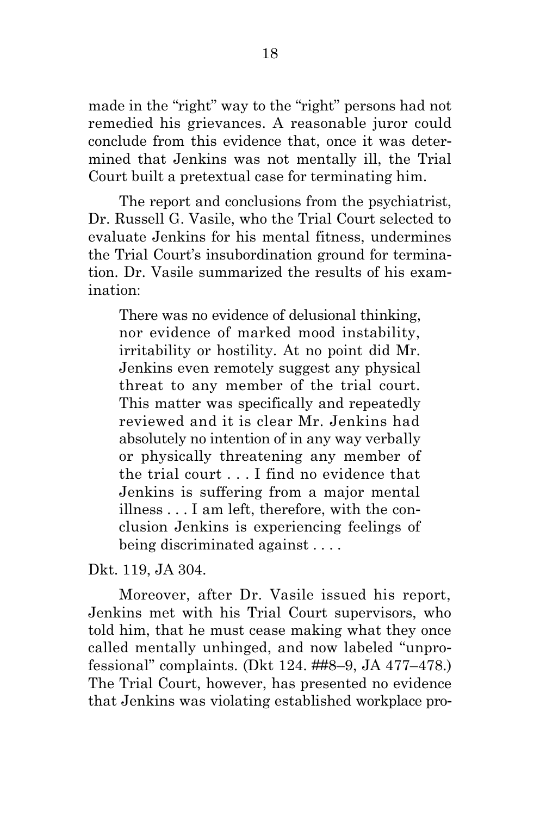made in the "right" way to the "right" persons had not remedied his grievances. A reasonable juror could conclude from this evidence that, once it was determined that Jenkins was not mentally ill, the Trial Court built a pretextual case for terminating him.

The report and conclusions from the psychiatrist, Dr. Russell G. Vasile, who the Trial Court selected to evaluate Jenkins for his mental fitness, undermines the Trial Court's insubordination ground for termination. Dr. Vasile summarized the results of his examination:

There was no evidence of delusional thinking, nor evidence of marked mood instability, irritability or hostility. At no point did Mr. Jenkins even remotely suggest any physical threat to any member of the trial court. This matter was specifically and repeatedly reviewed and it is clear Mr. Jenkins had absolutely no intention of in any way verbally or physically threatening any member of the trial court . . . I find no evidence that Jenkins is suffering from a major mental illness . . . I am left, therefore, with the conclusion Jenkins is experiencing feelings of being discriminated against . . . .

Dkt. 119, JA 304.

Moreover, after Dr. Vasile issued his report, Jenkins met with his Trial Court supervisors, who told him, that he must cease making what they once called mentally unhinged, and now labeled "unprofessional" complaints. (Dkt 124. ##8–9, JA 477–478.) The Trial Court, however, has presented no evidence that Jenkins was violating established workplace pro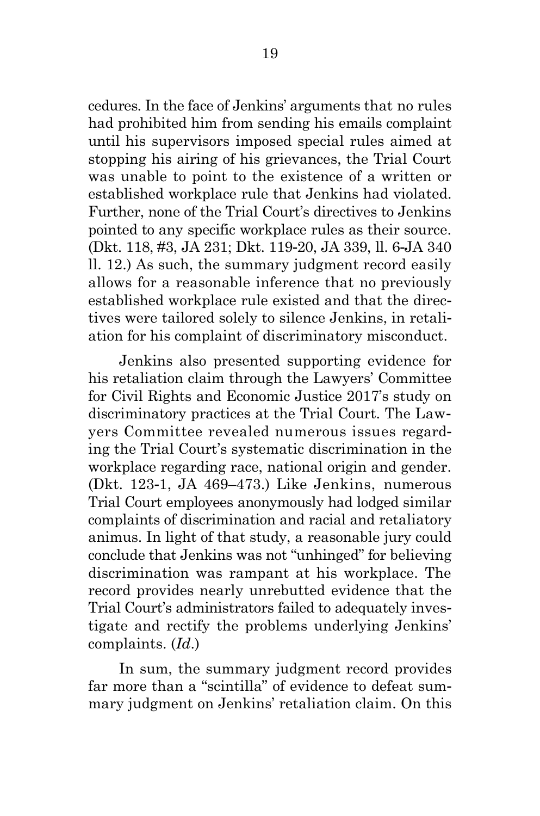cedures. In the face of Jenkins' arguments that no rules had prohibited him from sending his emails complaint until his supervisors imposed special rules aimed at stopping his airing of his grievances, the Trial Court was unable to point to the existence of a written or established workplace rule that Jenkins had violated. Further, none of the Trial Court's directives to Jenkins pointed to any specific workplace rules as their source. (Dkt. 118, #3, JA 231; Dkt. 119-20, JA 339, ll. 6-JA 340 ll. 12.) As such, the summary judgment record easily allows for a reasonable inference that no previously established workplace rule existed and that the directives were tailored solely to silence Jenkins, in retaliation for his complaint of discriminatory misconduct.

Jenkins also presented supporting evidence for his retaliation claim through the Lawyers' Committee for Civil Rights and Economic Justice 2017's study on discriminatory practices at the Trial Court. The Lawyers Committee revealed numerous issues regarding the Trial Court's systematic discrimination in the workplace regarding race, national origin and gender. (Dkt. 123-1, JA 469–473.) Like Jenkins, numerous Trial Court employees anonymously had lodged similar complaints of discrimination and racial and retaliatory animus. In light of that study, a reasonable jury could conclude that Jenkins was not "unhinged" for believing discrimination was rampant at his workplace. The record provides nearly unrebutted evidence that the Trial Court's administrators failed to adequately investigate and rectify the problems underlying Jenkins' complaints. (*Id*.)

In sum, the summary judgment record provides far more than a "scintilla" of evidence to defeat summary judgment on Jenkins' retaliation claim. On this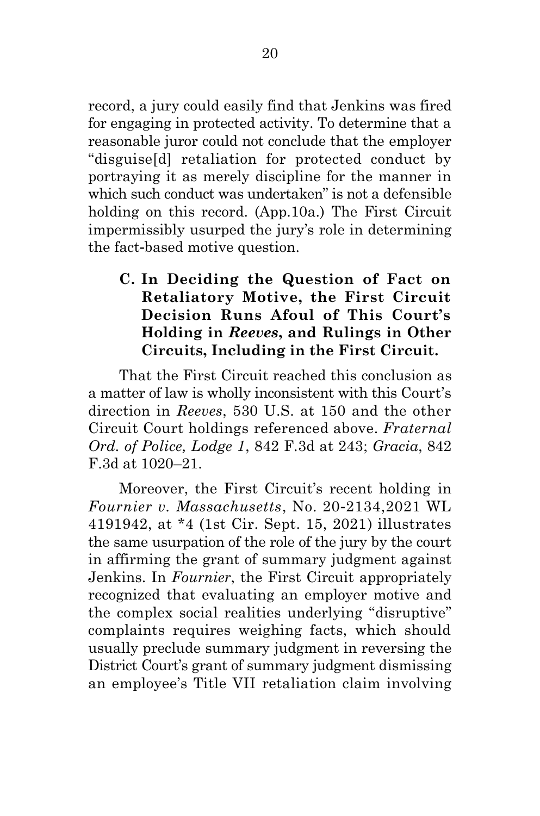record, a jury could easily find that Jenkins was fired for engaging in protected activity. To determine that a reasonable juror could not conclude that the employer "disguise[d] retaliation for protected conduct by portraying it as merely discipline for the manner in which such conduct was undertaken" is not a defensible holding on this record. (App.10a.) The First Circuit impermissibly usurped the jury's role in determining the fact-based motive question.

### <span id="page-32-0"></span>**C. In Deciding the Question of Fact on Retaliatory Motive, the First Circuit Decision Runs Afoul of This Court's Holding in** *Reeves***, and Rulings in Other Circuits, Including in the First Circuit.**

That the First Circuit reached this conclusion as a matter of law is wholly inconsistent with this Court's direction in *Reeves*, 530 U.S. at 150 and the other Circuit Court holdings referenced above. *Fraternal Ord. of Police, Lodge 1*, 842 F.3d at 243; *Gracia*, 842 F.3d at 1020–21.

Moreover, the First Circuit's recent holding in *Fournier v. Massachusetts*, No. 20-2134,2021 WL 4191942, at \*4 (1st Cir. Sept. 15, 2021) illustrates the same usurpation of the role of the jury by the court in affirming the grant of summary judgment against Jenkins. In *Fournier*, the First Circuit appropriately recognized that evaluating an employer motive and the complex social realities underlying "disruptive" complaints requires weighing facts, which should usually preclude summary judgment in reversing the District Court's grant of summary judgment dismissing an employee's Title VII retaliation claim involving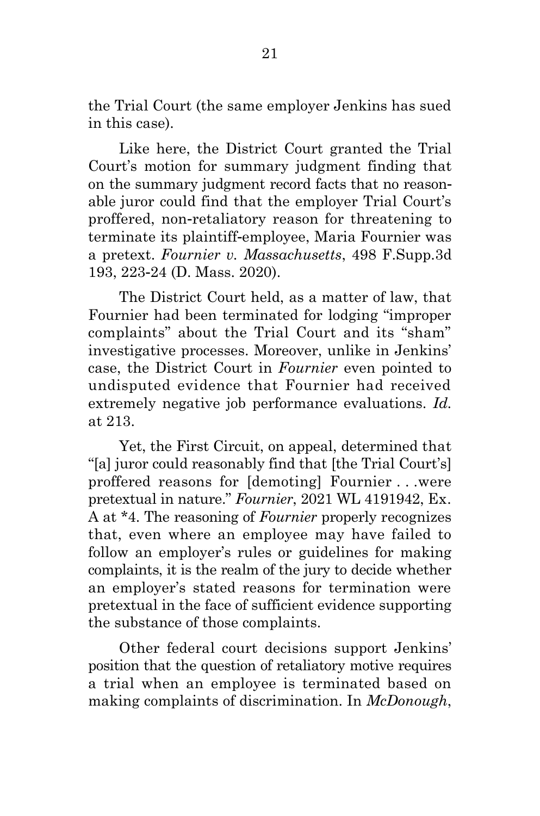the Trial Court (the same employer Jenkins has sued in this case).

Like here, the District Court granted the Trial Court's motion for summary judgment finding that on the summary judgment record facts that no reasonable juror could find that the employer Trial Court's proffered, non-retaliatory reason for threatening to terminate its plaintiff-employee, Maria Fournier was a pretext. *Fournier v. Massachusetts*, 498 F.Supp.3d 193, 223-24 (D. Mass. 2020).

The District Court held, as a matter of law, that Fournier had been terminated for lodging "improper complaints" about the Trial Court and its "sham" investigative processes. Moreover, unlike in Jenkins' case, the District Court in *Fournier* even pointed to undisputed evidence that Fournier had received extremely negative job performance evaluations. *Id.* at 213.

Yet, the First Circuit, on appeal, determined that "[a] juror could reasonably find that [the Trial Court's] proffered reasons for [demoting] Fournier . . .were pretextual in nature." *Fournier*, 2021 WL 4191942, Ex. A at \*4. The reasoning of *Fournier* properly recognizes that, even where an employee may have failed to follow an employer's rules or guidelines for making complaints, it is the realm of the jury to decide whether an employer's stated reasons for termination were pretextual in the face of sufficient evidence supporting the substance of those complaints.

Other federal court decisions support Jenkins' position that the question of retaliatory motive requires a trial when an employee is terminated based on making complaints of discrimination. In *McDonough*,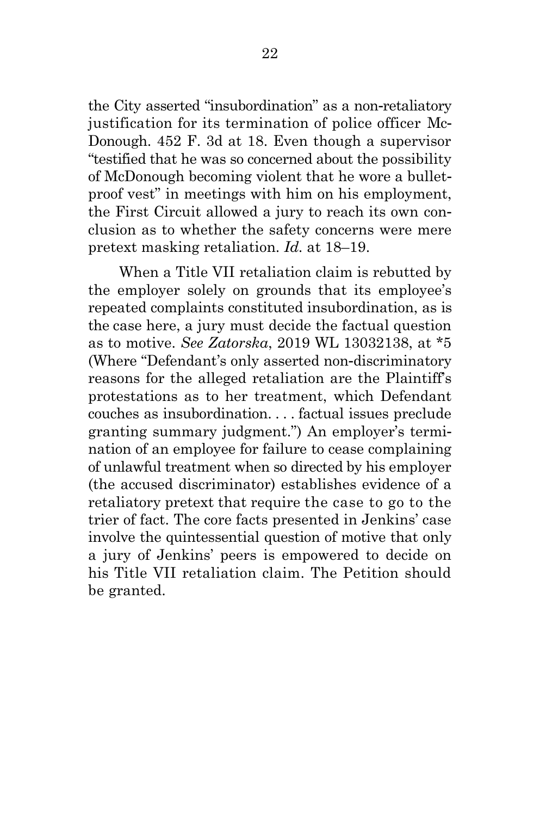the City asserted "insubordination" as a non-retaliatory justification for its termination of police officer Mc-Donough. 452 F. 3d at 18. Even though a supervisor "testified that he was so concerned about the possibility of McDonough becoming violent that he wore a bulletproof vest" in meetings with him on his employment, the First Circuit allowed a jury to reach its own conclusion as to whether the safety concerns were mere pretext masking retaliation. *Id.* at 18–19.

When a Title VII retaliation claim is rebutted by the employer solely on grounds that its employee's repeated complaints constituted insubordination, as is the case here, a jury must decide the factual question as to motive. *See Zatorska*, 2019 WL 13032138, at \*5 (Where "Defendant's only asserted non-discriminatory reasons for the alleged retaliation are the Plaintiff's protestations as to her treatment, which Defendant couches as insubordination. . . . factual issues preclude granting summary judgment.") An employer's termination of an employee for failure to cease complaining of unlawful treatment when so directed by his employer (the accused discriminator) establishes evidence of a retaliatory pretext that require the case to go to the trier of fact. The core facts presented in Jenkins' case involve the quintessential question of motive that only a jury of Jenkins' peers is empowered to decide on his Title VII retaliation claim. The Petition should be granted.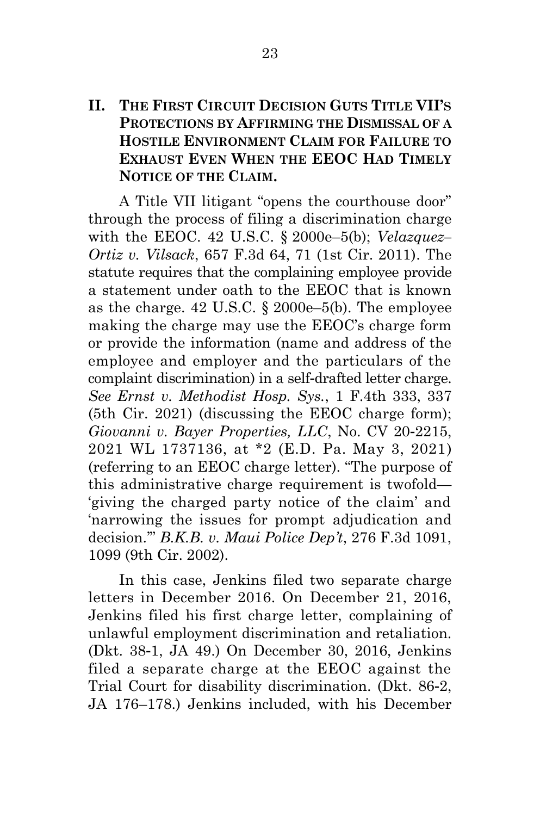#### <span id="page-35-0"></span>**II. THE FIRST CIRCUIT DECISION GUTS TITLE VII'S PROTECTIONS BY AFFIRMING THE DISMISSAL OF A HOSTILE ENVIRONMENT CLAIM FOR FAILURE TO EXHAUST EVEN WHEN THE EEOC HAD TIMELY NOTICE OF THE CLAIM.**

A Title VII litigant "opens the courthouse door" through the process of filing a discrimination charge with the EEOC. 42 U.S.C. § 2000e–5(b); *Velazquez– Ortiz v. Vilsack*, 657 F.3d 64, 71 (1st Cir. 2011). The statute requires that the complaining employee provide a statement under oath to the EEOC that is known as the charge. 42 U.S.C. § 2000e–5(b). The employee making the charge may use the EEOC's charge form or provide the information (name and address of the employee and employer and the particulars of the complaint discrimination) in a self-drafted letter charge. *See Ernst v. Methodist Hosp. Sys.*, 1 F.4th 333, 337 (5th Cir. 2021) (discussing the EEOC charge form); *Giovanni v. Bayer Properties, LLC*, No. CV 20-2215, 2021 WL 1737136, at \*2 (E.D. Pa. May 3, 2021) (referring to an EEOC charge letter). "The purpose of this administrative charge requirement is twofold— 'giving the charged party notice of the claim' and 'narrowing the issues for prompt adjudication and decision.'" *B.K.B. v. Maui Police Dep't*, 276 F.3d 1091, 1099 (9th Cir. 2002).

In this case, Jenkins filed two separate charge letters in December 2016. On December 21, 2016, Jenkins filed his first charge letter, complaining of unlawful employment discrimination and retaliation. (Dkt. 38-1, JA 49.) On December 30, 2016, Jenkins filed a separate charge at the EEOC against the Trial Court for disability discrimination. (Dkt. 86-2, JA 176–178.) Jenkins included, with his December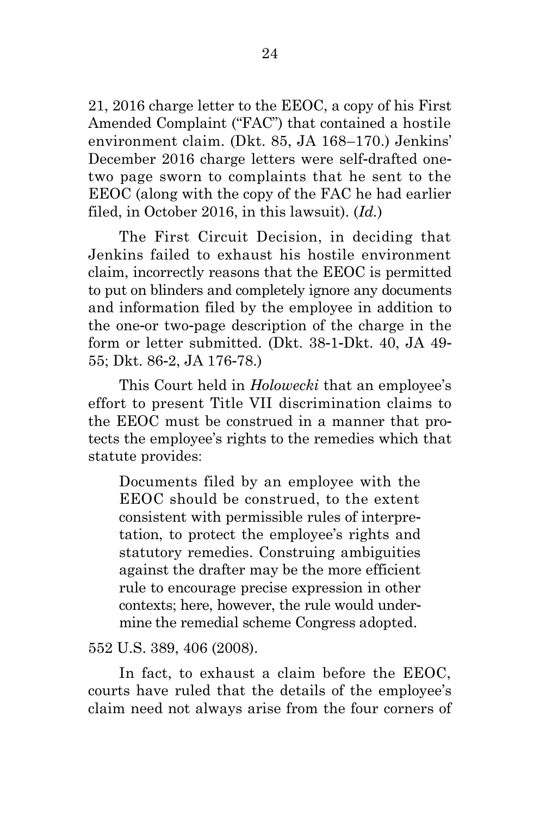21, 2016 charge letter to the EEOC, a copy of his First Amended Complaint ("FAC") that contained a hostile environment claim. (Dkt. 85, JA 168–170.) Jenkins' December 2016 charge letters were self-drafted onetwo page sworn to complaints that he sent to the EEOC (along with the copy of the FAC he had earlier filed, in October 2016, in this lawsuit). (*Id.*)

The First Circuit Decision, in deciding that Jenkins failed to exhaust his hostile environment claim, incorrectly reasons that the EEOC is permitted to put on blinders and completely ignore any documents and information filed by the employee in addition to the one-or two-page description of the charge in the form or letter submitted. (Dkt. 38-1-Dkt. 40, JA 49- 55; Dkt. 86-2, JA 176-78.)

This Court held in *Holowecki* that an employee's effort to present Title VII discrimination claims to the EEOC must be construed in a manner that protects the employee's rights to the remedies which that statute provides:

Documents filed by an employee with the EEOC should be construed, to the extent consistent with permissible rules of interpretation, to protect the employee's rights and statutory remedies. Construing ambiguities against the drafter may be the more efficient rule to encourage precise expression in other contexts; here, however, the rule would undermine the remedial scheme Congress adopted.

552 U.S. 389, 406 (2008).

In fact, to exhaust a claim before the EEOC, courts have ruled that the details of the employee's claim need not always arise from the four corners of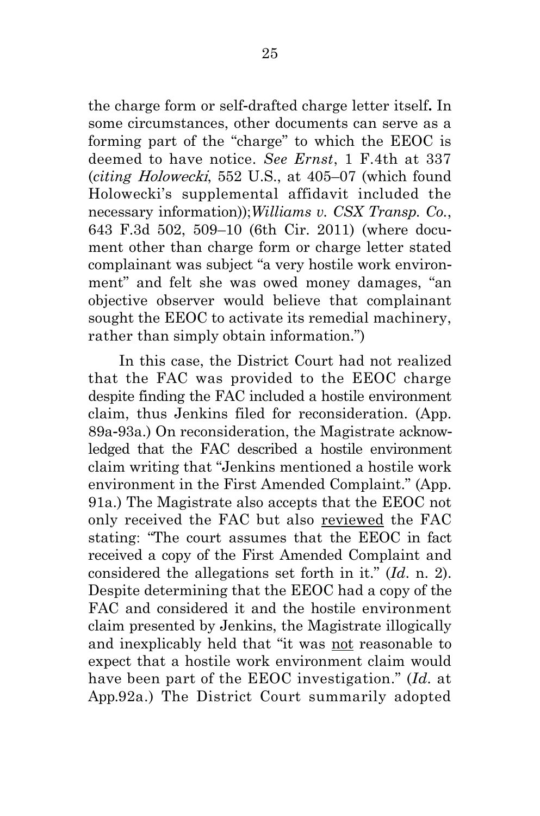the charge form or self-drafted charge letter itself**.** In some circumstances, other documents can serve as a forming part of the "charge" to which the EEOC is deemed to have notice. *See Ernst*, 1 F.4th at 337 (*citing* Holowecki, 552 U.S., at 405–07 (which found Holowecki's supplemental affidavit included the necessary information));*Williams v. CSX Transp. Co.*, 643 F.3d 502, 509–10 (6th Cir. 2011) (where document other than charge form or charge letter stated complainant was subject "a very hostile work environment" and felt she was owed money damages, "an objective observer would believe that complainant sought the EEOC to activate its remedial machinery, rather than simply obtain information.")

In this case, the District Court had not realized that the FAC was provided to the EEOC charge despite finding the FAC included a hostile environment claim, thus Jenkins filed for reconsideration. (App. 89a-93a.) On reconsideration, the Magistrate acknowledged that the FAC described a hostile environment claim writing that "Jenkins mentioned a hostile work environment in the First Amended Complaint." (App. 91a.) The Magistrate also accepts that the EEOC not only received the FAC but also reviewed the FAC stating: "The court assumes that the EEOC in fact received a copy of the First Amended Complaint and considered the allegations set forth in it." (*Id*. n. 2). Despite determining that the EEOC had a copy of the FAC and considered it and the hostile environment claim presented by Jenkins, the Magistrate illogically and inexplicably held that "it was not reasonable to expect that a hostile work environment claim would have been part of the EEOC investigation." (*Id.* at App.92a.) The District Court summarily adopted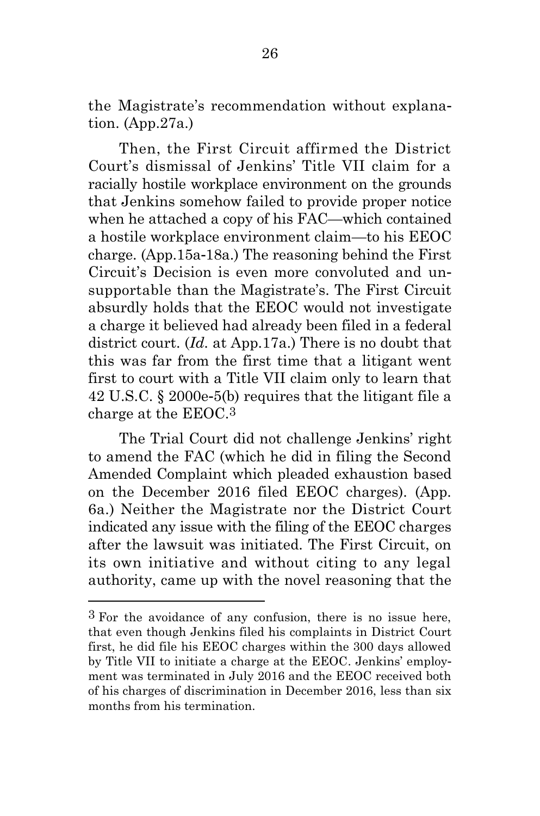the Magistrate's recommendation without explanation. (App.27a.)

Then, the First Circuit affirmed the District Court's dismissal of Jenkins' Title VII claim for a racially hostile workplace environment on the grounds that Jenkins somehow failed to provide proper notice when he attached a copy of his FAC—which contained a hostile workplace environment claim—to his EEOC charge. (App.15a-18a.) The reasoning behind the First Circuit's Decision is even more convoluted and unsupportable than the Magistrate's. The First Circuit absurdly holds that the EEOC would not investigate a charge it believed had already been filed in a federal district court. (*Id.* at App.17a.) There is no doubt that this was far from the first time that a litigant went first to court with a Title VII claim only to learn that 42 U.S.C. § 2000e-5(b) requires that the litigant file a charge at the EEOC.3

The Trial Court did not challenge Jenkins' right to amend the FAC (which he did in filing the Second Amended Complaint which pleaded exhaustion based on the December 2016 filed EEOC charges). (App. 6a.) Neither the Magistrate nor the District Court indicated any issue with the filing of the EEOC charges after the lawsuit was initiated. The First Circuit, on its own initiative and without citing to any legal authority, came up with the novel reasoning that the

<sup>3</sup> For the avoidance of any confusion, there is no issue here, that even though Jenkins filed his complaints in District Court first, he did file his EEOC charges within the 300 days allowed by Title VII to initiate a charge at the EEOC. Jenkins' employment was terminated in July 2016 and the EEOC received both of his charges of discrimination in December 2016, less than six months from his termination.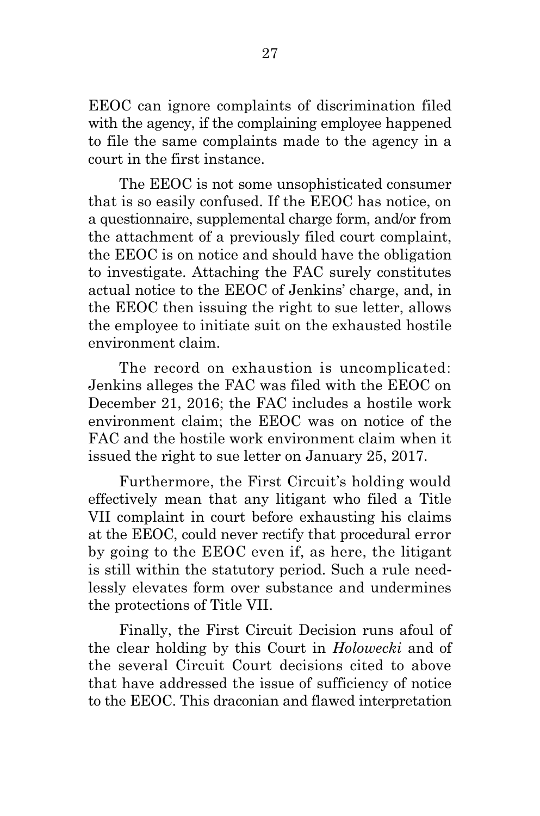EEOC can ignore complaints of discrimination filed with the agency, if the complaining employee happened to file the same complaints made to the agency in a court in the first instance.

The EEOC is not some unsophisticated consumer that is so easily confused. If the EEOC has notice, on a questionnaire, supplemental charge form, and/or from the attachment of a previously filed court complaint, the EEOC is on notice and should have the obligation to investigate. Attaching the FAC surely constitutes actual notice to the EEOC of Jenkins' charge, and, in the EEOC then issuing the right to sue letter, allows the employee to initiate suit on the exhausted hostile environment claim.

The record on exhaustion is uncomplicated: Jenkins alleges the FAC was filed with the EEOC on December 21, 2016; the FAC includes a hostile work environment claim; the EEOC was on notice of the FAC and the hostile work environment claim when it issued the right to sue letter on January 25, 2017.

Furthermore, the First Circuit's holding would effectively mean that any litigant who filed a Title VII complaint in court before exhausting his claims at the EEOC, could never rectify that procedural error by going to the EEOC even if, as here, the litigant is still within the statutory period. Such a rule needlessly elevates form over substance and undermines the protections of Title VII.

Finally, the First Circuit Decision runs afoul of the clear holding by this Court in *Holowecki* and of the several Circuit Court decisions cited to above that have addressed the issue of sufficiency of notice to the EEOC. This draconian and flawed interpretation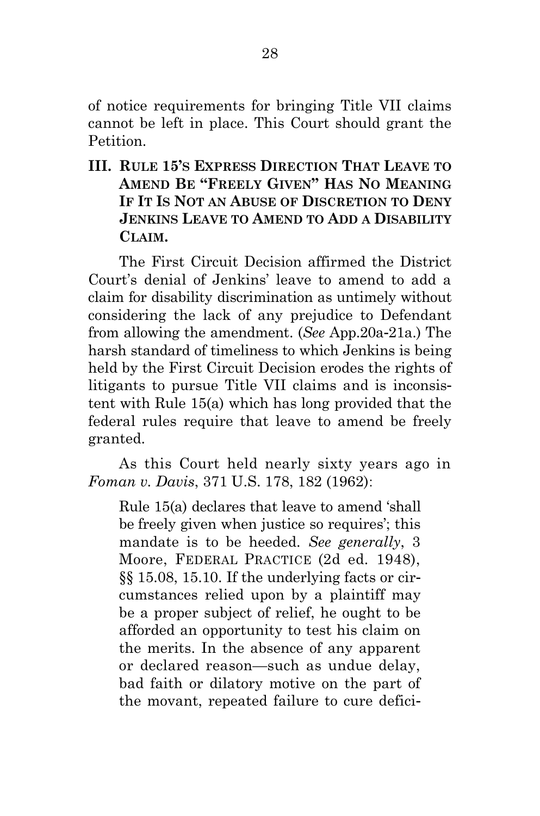of notice requirements for bringing Title VII claims cannot be left in place. This Court should grant the Petition.

<span id="page-40-0"></span>**III. RULE 15'S EXPRESS DIRECTION THAT LEAVE TO AMEND BE "FREELY GIVEN" HAS NO MEANING IF IT IS NOT AN ABUSE OF DISCRETION TO DENY JENKINS LEAVE TO AMEND TO ADD A DISABILITY CLAIM.**

The First Circuit Decision affirmed the District Court's denial of Jenkins' leave to amend to add a claim for disability discrimination as untimely without considering the lack of any prejudice to Defendant from allowing the amendment. (*See* App.20a-21a.) The harsh standard of timeliness to which Jenkins is being held by the First Circuit Decision erodes the rights of litigants to pursue Title VII claims and is inconsistent with Rule 15(a) which has long provided that the federal rules require that leave to amend be freely granted.

As this Court held nearly sixty years ago in *Foman v. Davis*, 371 U.S. 178, 182 (1962):

Rule 15(a) declares that leave to amend 'shall be freely given when justice so requires'; this mandate is to be heeded. *See generally*, 3 Moore, FEDERAL PRACTICE (2d ed. 1948), §§ 15.08, 15.10. If the underlying facts or circumstances relied upon by a plaintiff may be a proper subject of relief, he ought to be afforded an opportunity to test his claim on the merits. In the absence of any apparent or declared reason—such as undue delay, bad faith or dilatory motive on the part of the movant, repeated failure to cure defici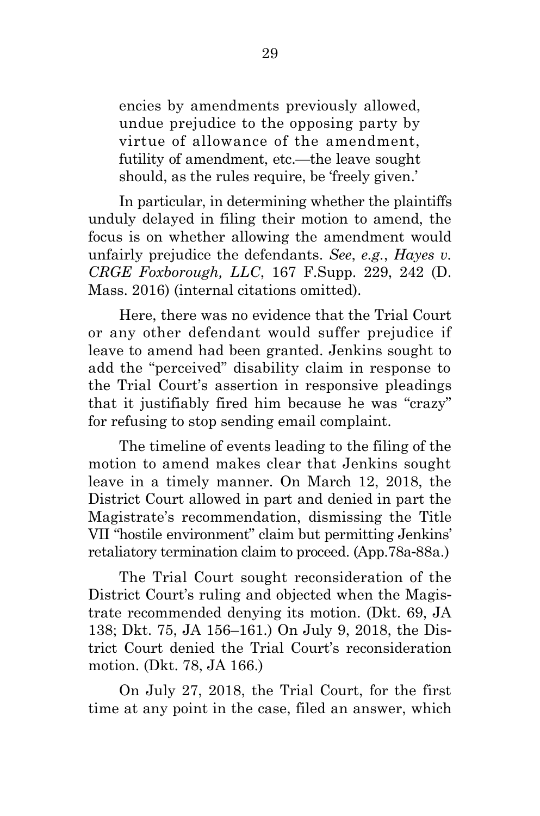encies by amendments previously allowed, undue prejudice to the opposing party by virtue of allowance of the amendment, futility of amendment, etc.—the leave sought should, as the rules require, be 'freely given.'

In particular, in determining whether the plaintiffs unduly delayed in filing their motion to amend, the focus is on whether allowing the amendment would unfairly prejudice the defendants. *See*, *e.g.*, *Hayes v. CRGE Foxborough, LLC*, 167 F.Supp. 229, 242 (D. Mass. 2016) (internal citations omitted).

Here, there was no evidence that the Trial Court or any other defendant would suffer prejudice if leave to amend had been granted. Jenkins sought to add the "perceived" disability claim in response to the Trial Court's assertion in responsive pleadings that it justifiably fired him because he was "crazy" for refusing to stop sending email complaint.

The timeline of events leading to the filing of the motion to amend makes clear that Jenkins sought leave in a timely manner. On March 12, 2018, the District Court allowed in part and denied in part the Magistrate's recommendation, dismissing the Title VII "hostile environment" claim but permitting Jenkins' retaliatory termination claim to proceed. (App.78a-88a.)

The Trial Court sought reconsideration of the District Court's ruling and objected when the Magistrate recommended denying its motion. (Dkt. 69, JA 138; Dkt. 75, JA 156–161.) On July 9, 2018, the District Court denied the Trial Court's reconsideration motion. (Dkt. 78, JA 166.)

On July 27, 2018, the Trial Court, for the first time at any point in the case, filed an answer, which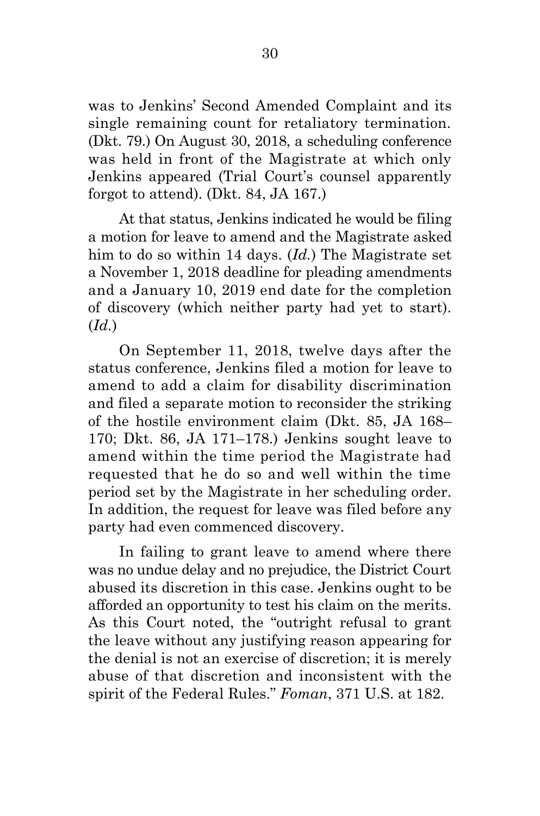was to Jenkins' Second Amended Complaint and its single remaining count for retaliatory termination. (Dkt. 79.) On August 30, 2018, a scheduling conference was held in front of the Magistrate at which only Jenkins appeared (Trial Court's counsel apparently forgot to attend). (Dkt. 84, JA 167.)

At that status, Jenkins indicated he would be filing a motion for leave to amend and the Magistrate asked him to do so within 14 days. (*Id.*) The Magistrate set a November 1, 2018 deadline for pleading amendments and a January 10, 2019 end date for the completion of discovery (which neither party had yet to start). (*Id.*)

On September 11, 2018, twelve days after the status conference, Jenkins filed a motion for leave to amend to add a claim for disability discrimination and filed a separate motion to reconsider the striking of the hostile environment claim (Dkt. 85, JA 168– 170; Dkt. 86, JA 171–178.) Jenkins sought leave to amend within the time period the Magistrate had requested that he do so and well within the time period set by the Magistrate in her scheduling order. In addition, the request for leave was filed before any party had even commenced discovery.

In failing to grant leave to amend where there was no undue delay and no prejudice, the District Court abused its discretion in this case. Jenkins ought to be afforded an opportunity to test his claim on the merits. As this Court noted, the "outright refusal to grant the leave without any justifying reason appearing for the denial is not an exercise of discretion; it is merely abuse of that discretion and inconsistent with the spirit of the Federal Rules." *Foman*, 371 U.S. at 182.